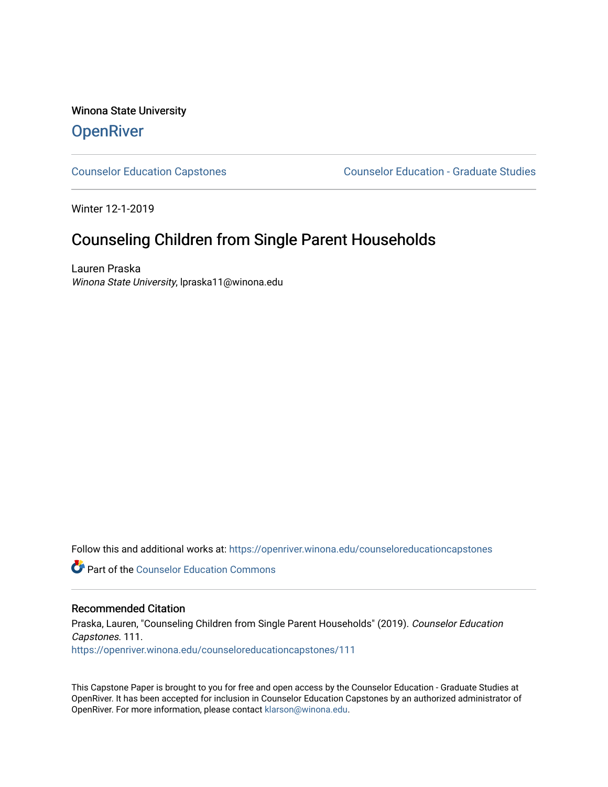# Winona State University **OpenRiver**

[Counselor Education Capstones](https://openriver.winona.edu/counseloreducationcapstones) [Counselor Education - Graduate Studies](https://openriver.winona.edu/counseloreducation) 

Winter 12-1-2019

# Counseling Children from Single Parent Households

Lauren Praska Winona State University, lpraska11@winona.edu

Follow this and additional works at: [https://openriver.winona.edu/counseloreducationcapstones](https://openriver.winona.edu/counseloreducationcapstones?utm_source=openriver.winona.edu%2Fcounseloreducationcapstones%2F111&utm_medium=PDF&utm_campaign=PDFCoverPages)

**C** Part of the Counselor Education Commons

#### Recommended Citation

Praska, Lauren, "Counseling Children from Single Parent Households" (2019). Counselor Education Capstones. 111. [https://openriver.winona.edu/counseloreducationcapstones/111](https://openriver.winona.edu/counseloreducationcapstones/111?utm_source=openriver.winona.edu%2Fcounseloreducationcapstones%2F111&utm_medium=PDF&utm_campaign=PDFCoverPages)

This Capstone Paper is brought to you for free and open access by the Counselor Education - Graduate Studies at OpenRiver. It has been accepted for inclusion in Counselor Education Capstones by an authorized administrator of OpenRiver. For more information, please contact [klarson@winona.edu](mailto:klarson@winona.edu).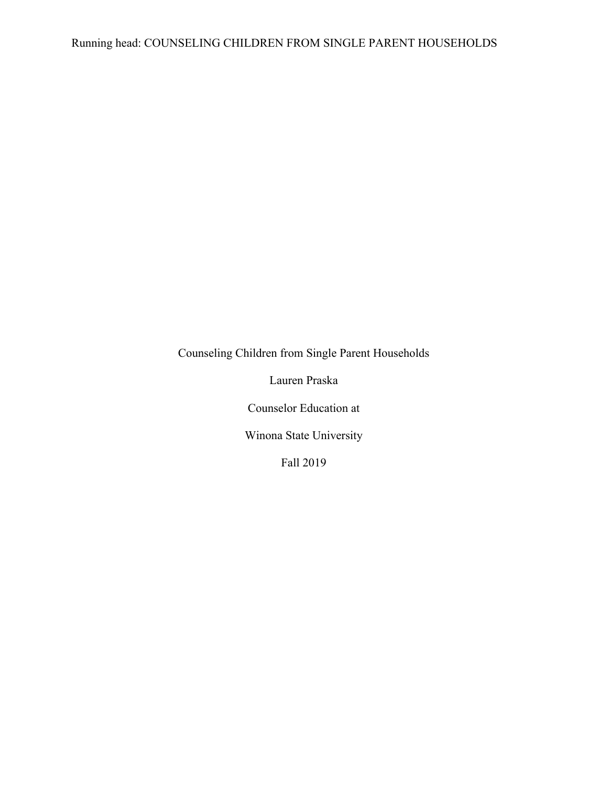Lauren Praska

Counselor Education at

Winona State University

Fall 2019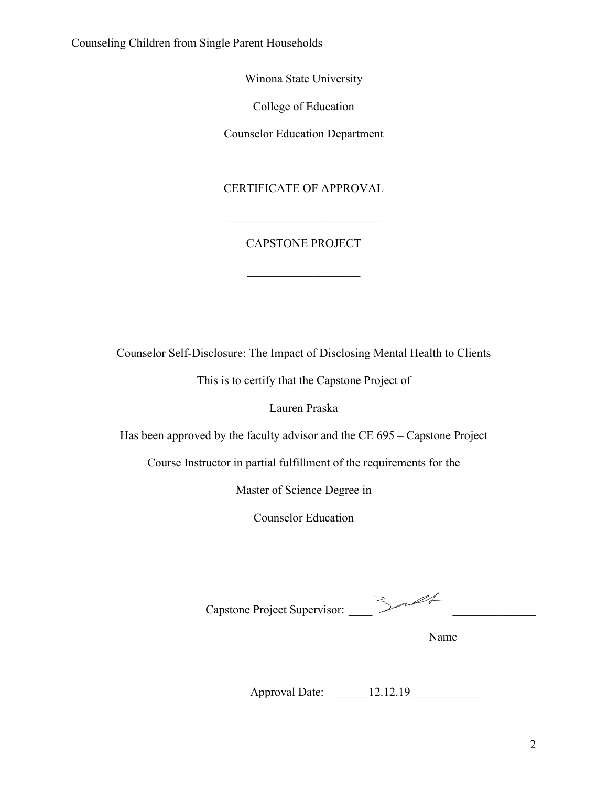Winona State University

College of Education

Counselor Education Department

# CERTIFICATE OF APPROVAL

# CAPSTONE PROJECT

Counselor Self-Disclosure: The Impact of Disclosing Mental Health to Clients

This is to certify that the Capstone Project of

Lauren Praska

Has been approved by the faculty advisor and the CE 695 – Capstone Project

Course Instructor in partial fulfillment of the requirements for the

Master of Science Degree in

Counselor Education

Capstone Project Supervisor:

Name Name

Approval Date: \_\_\_\_\_\_12.12.19\_\_\_\_\_\_\_\_\_\_\_\_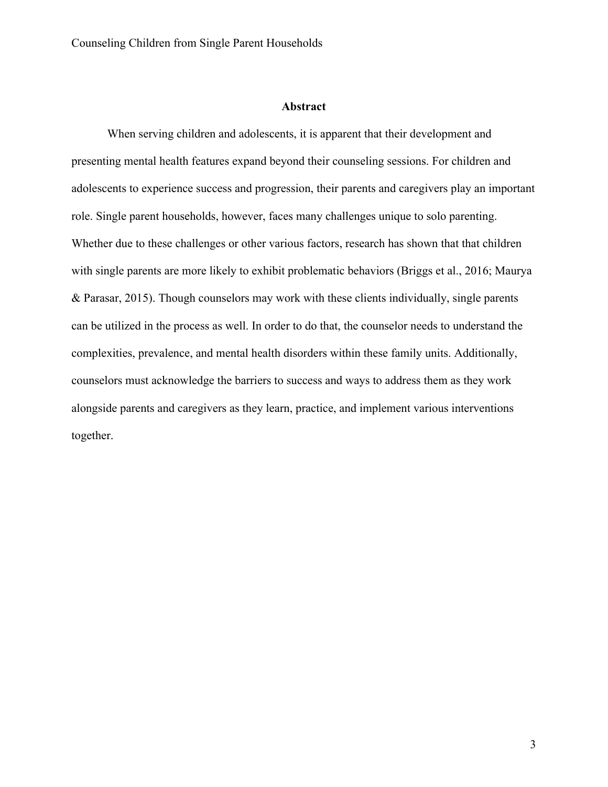### **Abstract**

When serving children and adolescents, it is apparent that their development and presenting mental health features expand beyond their counseling sessions. For children and adolescents to experience success and progression, their parents and caregivers play an important role. Single parent households, however, faces many challenges unique to solo parenting. Whether due to these challenges or other various factors, research has shown that that children with single parents are more likely to exhibit problematic behaviors (Briggs et al., 2016; Maurya & Parasar, 2015). Though counselors may work with these clients individually, single parents can be utilized in the process as well. In order to do that, the counselor needs to understand the complexities, prevalence, and mental health disorders within these family units. Additionally, counselors must acknowledge the barriers to success and ways to address them as they work alongside parents and caregivers as they learn, practice, and implement various interventions together.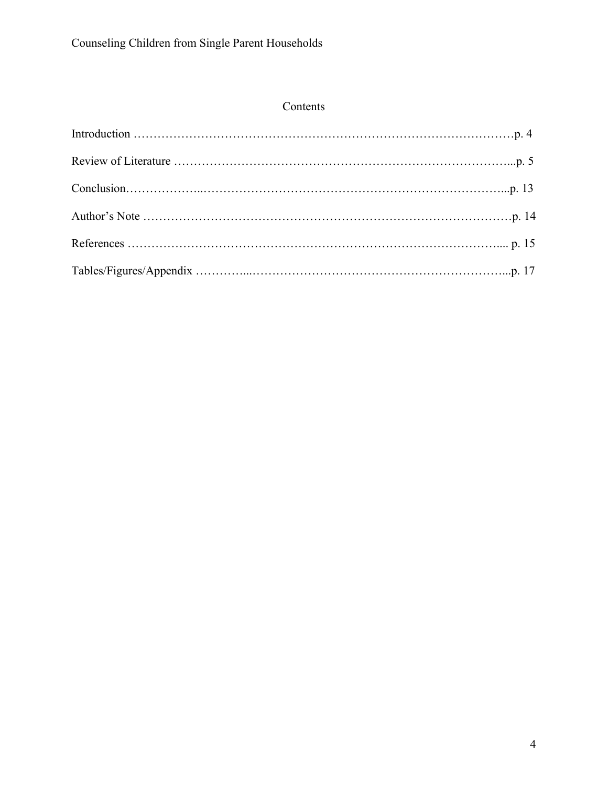# Contents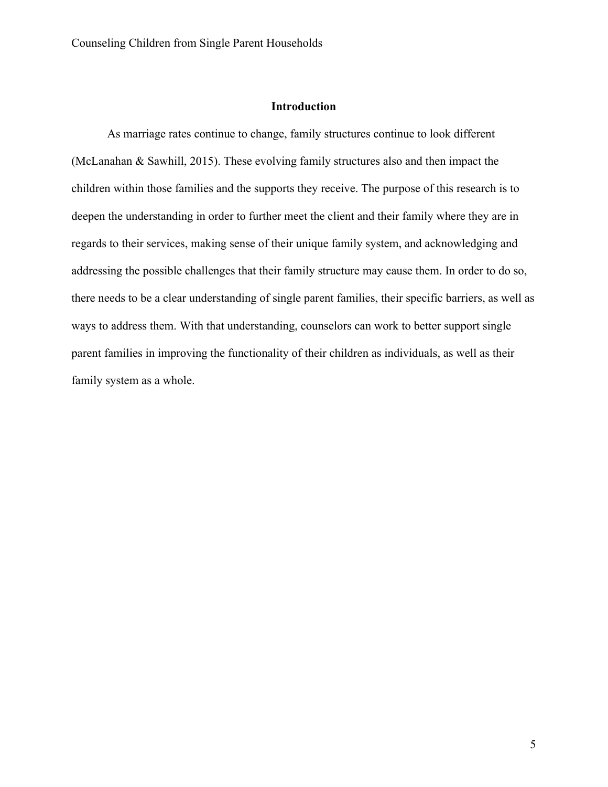### **Introduction**

As marriage rates continue to change, family structures continue to look different (McLanahan & Sawhill, 2015). These evolving family structures also and then impact the children within those families and the supports they receive. The purpose of this research is to deepen the understanding in order to further meet the client and their family where they are in regards to their services, making sense of their unique family system, and acknowledging and addressing the possible challenges that their family structure may cause them. In order to do so, there needs to be a clear understanding of single parent families, their specific barriers, as well as ways to address them. With that understanding, counselors can work to better support single parent families in improving the functionality of their children as individuals, as well as their family system as a whole.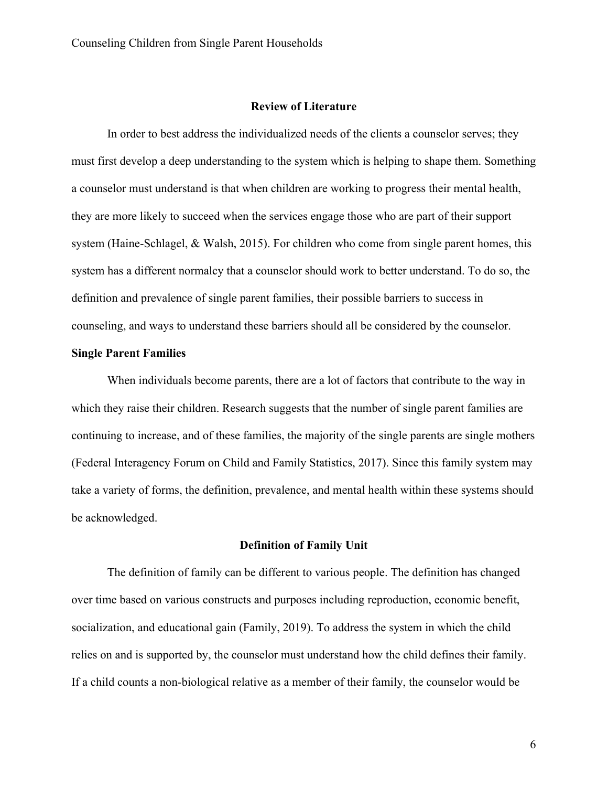### **Review of Literature**

In order to best address the individualized needs of the clients a counselor serves; they must first develop a deep understanding to the system which is helping to shape them. Something a counselor must understand is that when children are working to progress their mental health, they are more likely to succeed when the services engage those who are part of their support system (Haine-Schlagel, & Walsh, 2015). For children who come from single parent homes, this system has a different normalcy that a counselor should work to better understand. To do so, the definition and prevalence of single parent families, their possible barriers to success in counseling, and ways to understand these barriers should all be considered by the counselor.

### **Single Parent Families**

When individuals become parents, there are a lot of factors that contribute to the way in which they raise their children. Research suggests that the number of single parent families are continuing to increase, and of these families, the majority of the single parents are single mothers (Federal Interagency Forum on Child and Family Statistics, 2017). Since this family system may take a variety of forms, the definition, prevalence, and mental health within these systems should be acknowledged.

### **Definition of Family Unit**

The definition of family can be different to various people. The definition has changed over time based on various constructs and purposes including reproduction, economic benefit, socialization, and educational gain (Family, 2019). To address the system in which the child relies on and is supported by, the counselor must understand how the child defines their family. If a child counts a non-biological relative as a member of their family, the counselor would be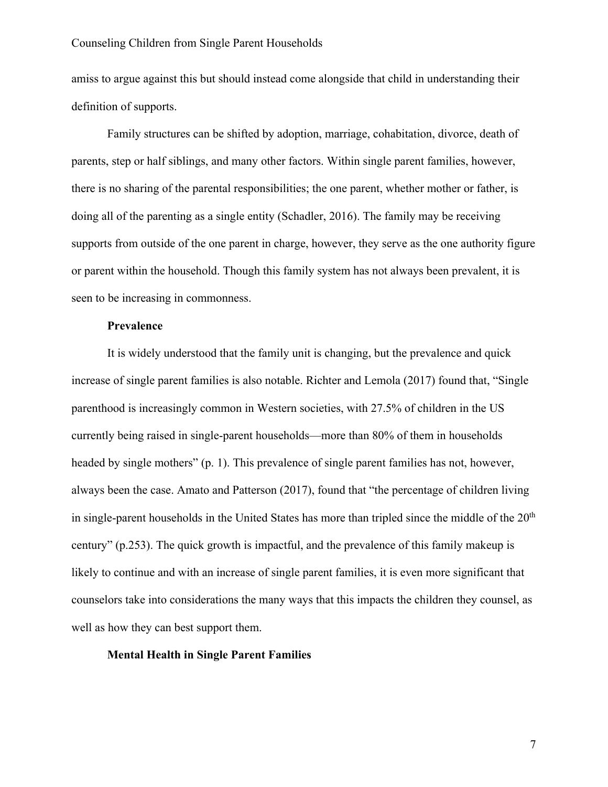amiss to argue against this but should instead come alongside that child in understanding their definition of supports.

Family structures can be shifted by adoption, marriage, cohabitation, divorce, death of parents, step or half siblings, and many other factors. Within single parent families, however, there is no sharing of the parental responsibilities; the one parent, whether mother or father, is doing all of the parenting as a single entity (Schadler, 2016). The family may be receiving supports from outside of the one parent in charge, however, they serve as the one authority figure or parent within the household. Though this family system has not always been prevalent, it is seen to be increasing in commonness.

### **Prevalence**

It is widely understood that the family unit is changing, but the prevalence and quick increase of single parent families is also notable. Richter and Lemola (2017) found that, "Single parenthood is increasingly common in Western societies, with 27.5% of children in the US currently being raised in single-parent households—more than 80% of them in households headed by single mothers" (p. 1). This prevalence of single parent families has not, however, always been the case. Amato and Patterson (2017), found that "the percentage of children living in single-parent households in the United States has more than tripled since the middle of the 20<sup>th</sup> century" (p.253). The quick growth is impactful, and the prevalence of this family makeup is likely to continue and with an increase of single parent families, it is even more significant that counselors take into considerations the many ways that this impacts the children they counsel, as well as how they can best support them.

#### **Mental Health in Single Parent Families**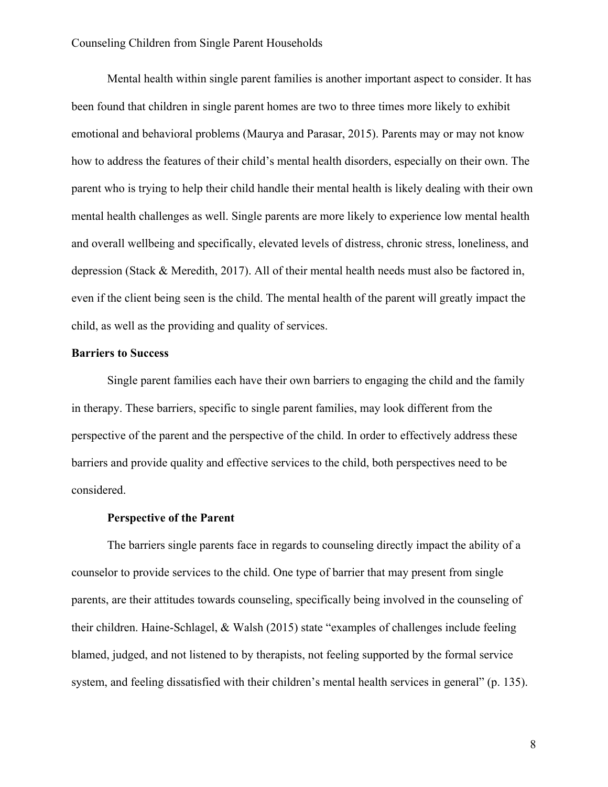Mental health within single parent families is another important aspect to consider. It has been found that children in single parent homes are two to three times more likely to exhibit emotional and behavioral problems (Maurya and Parasar, 2015). Parents may or may not know how to address the features of their child's mental health disorders, especially on their own. The parent who is trying to help their child handle their mental health is likely dealing with their own mental health challenges as well. Single parents are more likely to experience low mental health and overall wellbeing and specifically, elevated levels of distress, chronic stress, loneliness, and depression (Stack & Meredith, 2017). All of their mental health needs must also be factored in, even if the client being seen is the child. The mental health of the parent will greatly impact the child, as well as the providing and quality of services.

### **Barriers to Success**

Single parent families each have their own barriers to engaging the child and the family in therapy. These barriers, specific to single parent families, may look different from the perspective of the parent and the perspective of the child. In order to effectively address these barriers and provide quality and effective services to the child, both perspectives need to be considered.

#### **Perspective of the Parent**

The barriers single parents face in regards to counseling directly impact the ability of a counselor to provide services to the child. One type of barrier that may present from single parents, are their attitudes towards counseling, specifically being involved in the counseling of their children. Haine-Schlagel, & Walsh (2015) state "examples of challenges include feeling blamed, judged, and not listened to by therapists, not feeling supported by the formal service system, and feeling dissatisfied with their children's mental health services in general" (p. 135).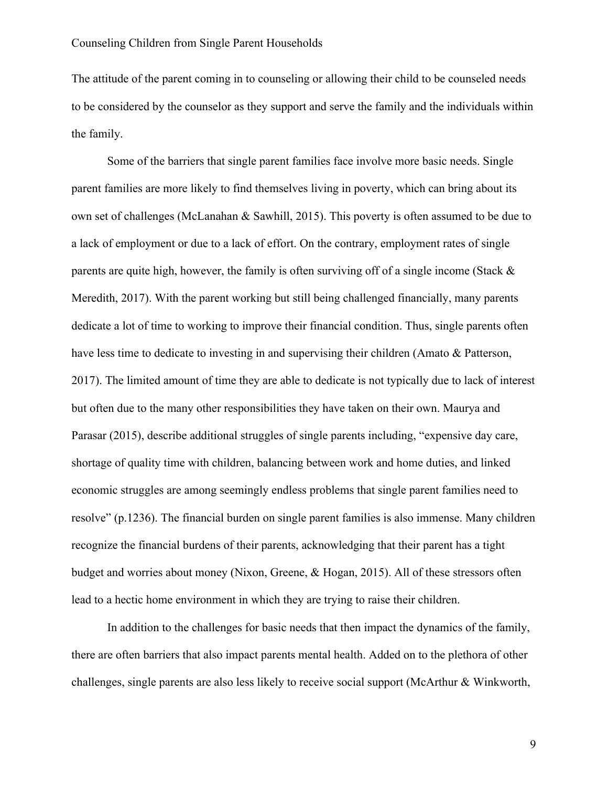The attitude of the parent coming in to counseling or allowing their child to be counseled needs to be considered by the counselor as they support and serve the family and the individuals within the family.

Some of the barriers that single parent families face involve more basic needs. Single parent families are more likely to find themselves living in poverty, which can bring about its own set of challenges (McLanahan & Sawhill, 2015). This poverty is often assumed to be due to a lack of employment or due to a lack of effort. On the contrary, employment rates of single parents are quite high, however, the family is often surviving off of a single income (Stack & Meredith, 2017). With the parent working but still being challenged financially, many parents dedicate a lot of time to working to improve their financial condition. Thus, single parents often have less time to dedicate to investing in and supervising their children (Amato & Patterson, 2017). The limited amount of time they are able to dedicate is not typically due to lack of interest but often due to the many other responsibilities they have taken on their own. Maurya and Parasar (2015), describe additional struggles of single parents including, "expensive day care, shortage of quality time with children, balancing between work and home duties, and linked economic struggles are among seemingly endless problems that single parent families need to resolve" (p.1236). The financial burden on single parent families is also immense. Many children recognize the financial burdens of their parents, acknowledging that their parent has a tight budget and worries about money (Nixon, Greene, & Hogan, 2015). All of these stressors often lead to a hectic home environment in which they are trying to raise their children.

In addition to the challenges for basic needs that then impact the dynamics of the family, there are often barriers that also impact parents mental health. Added on to the plethora of other challenges, single parents are also less likely to receive social support (McArthur & Winkworth,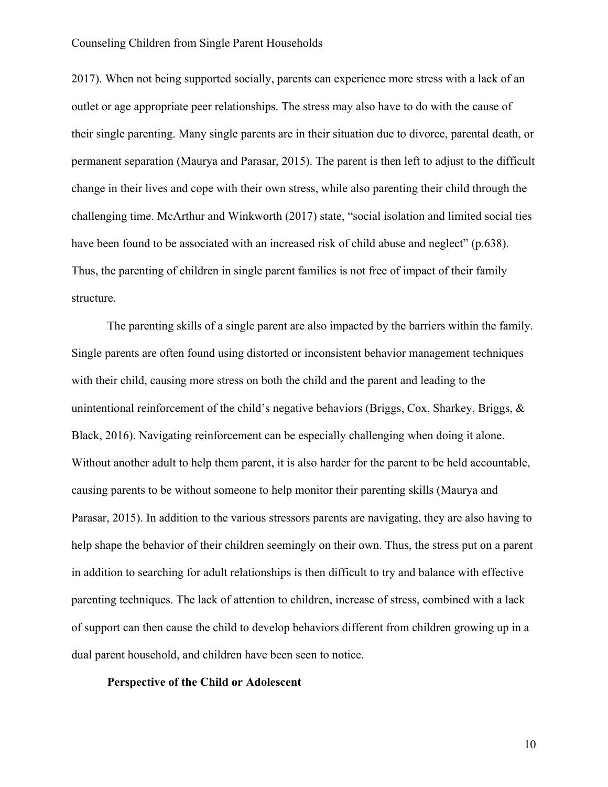2017). When not being supported socially, parents can experience more stress with a lack of an outlet or age appropriate peer relationships. The stress may also have to do with the cause of their single parenting. Many single parents are in their situation due to divorce, parental death, or permanent separation (Maurya and Parasar, 2015). The parent is then left to adjust to the difficult change in their lives and cope with their own stress, while also parenting their child through the challenging time. McArthur and Winkworth (2017) state, "social isolation and limited social ties have been found to be associated with an increased risk of child abuse and neglect" (p.638). Thus, the parenting of children in single parent families is not free of impact of their family structure.

The parenting skills of a single parent are also impacted by the barriers within the family. Single parents are often found using distorted or inconsistent behavior management techniques with their child, causing more stress on both the child and the parent and leading to the unintentional reinforcement of the child's negative behaviors (Briggs, Cox, Sharkey, Briggs, & Black, 2016). Navigating reinforcement can be especially challenging when doing it alone. Without another adult to help them parent, it is also harder for the parent to be held accountable, causing parents to be without someone to help monitor their parenting skills (Maurya and Parasar, 2015). In addition to the various stressors parents are navigating, they are also having to help shape the behavior of their children seemingly on their own. Thus, the stress put on a parent in addition to searching for adult relationships is then difficult to try and balance with effective parenting techniques. The lack of attention to children, increase of stress, combined with a lack of support can then cause the child to develop behaviors different from children growing up in a dual parent household, and children have been seen to notice.

#### **Perspective of the Child or Adolescent**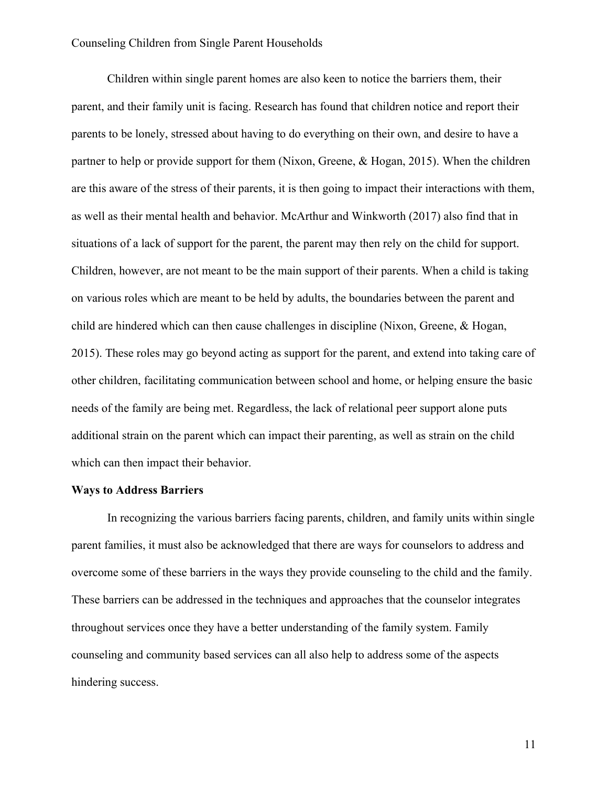Children within single parent homes are also keen to notice the barriers them, their parent, and their family unit is facing. Research has found that children notice and report their parents to be lonely, stressed about having to do everything on their own, and desire to have a partner to help or provide support for them (Nixon, Greene, & Hogan, 2015). When the children are this aware of the stress of their parents, it is then going to impact their interactions with them, as well as their mental health and behavior. McArthur and Winkworth (2017) also find that in situations of a lack of support for the parent, the parent may then rely on the child for support. Children, however, are not meant to be the main support of their parents. When a child is taking on various roles which are meant to be held by adults, the boundaries between the parent and child are hindered which can then cause challenges in discipline (Nixon, Greene, & Hogan, 2015). These roles may go beyond acting as support for the parent, and extend into taking care of other children, facilitating communication between school and home, or helping ensure the basic needs of the family are being met. Regardless, the lack of relational peer support alone puts additional strain on the parent which can impact their parenting, as well as strain on the child which can then impact their behavior.

#### **Ways to Address Barriers**

In recognizing the various barriers facing parents, children, and family units within single parent families, it must also be acknowledged that there are ways for counselors to address and overcome some of these barriers in the ways they provide counseling to the child and the family. These barriers can be addressed in the techniques and approaches that the counselor integrates throughout services once they have a better understanding of the family system. Family counseling and community based services can all also help to address some of the aspects hindering success.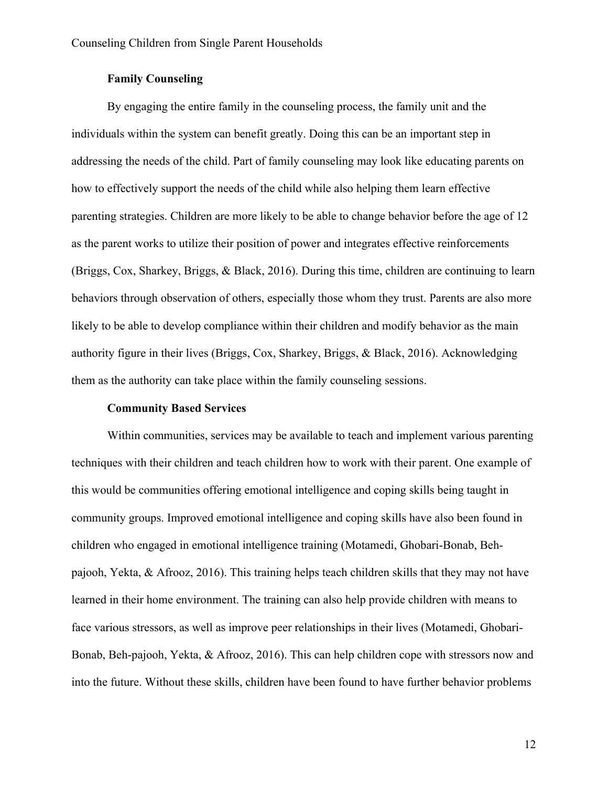### **Family Counseling**

By engaging the entire family in the counseling process, the family unit and the individuals within the system can benefit greatly. Doing this can be an important step in addressing the needs of the child. Part of family counseling may look like educating parents on how to effectively support the needs of the child while also helping them learn effective parenting strategies. Children are more likely to be able to change behavior before the age of 12 as the parent works to utilize their position of power and integrates effective reinforcements (Briggs, Cox, Sharkey, Briggs, & Black, 2016). During this time, children are continuing to learn behaviors through observation of others, especially those whom they trust. Parents are also more likely to be able to develop compliance within their children and modify behavior as the main authority figure in their lives (Briggs, Cox, Sharkey, Briggs, & Black, 2016). Acknowledging them as the authority can take place within the family counseling sessions.

### **Community Based Services**

Within communities, services may be available to teach and implement various parenting techniques with their children and teach children how to work with their parent. One example of this would be communities offering emotional intelligence and coping skills being taught in community groups. Improved emotional intelligence and coping skills have also been found in children who engaged in emotional intelligence training (Motamedi, Ghobari-Bonab, Behpajooh, Yekta, & Afrooz, 2016). This training helps teach children skills that they may not have learned in their home environment. The training can also help provide children with means to face various stressors, as well as improve peer relationships in their lives (Motamedi, Ghobari-Bonab, Beh-pajooh, Yekta, & Afrooz, 2016). This can help children cope with stressors now and into the future. Without these skills, children have been found to have further behavior problems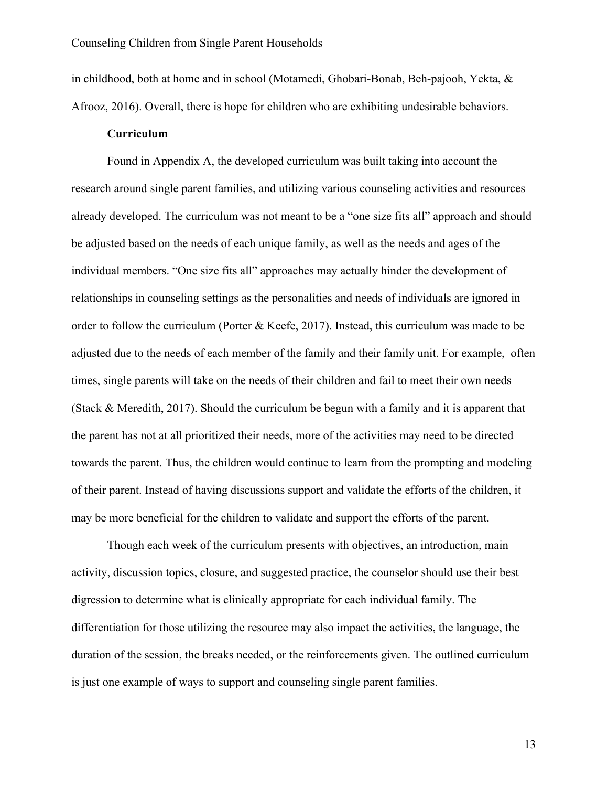in childhood, both at home and in school (Motamedi, Ghobari-Bonab, Beh-pajooh, Yekta, & Afrooz, 2016). Overall, there is hope for children who are exhibiting undesirable behaviors.

#### **Curriculum**

Found in Appendix A, the developed curriculum was built taking into account the research around single parent families, and utilizing various counseling activities and resources already developed. The curriculum was not meant to be a "one size fits all" approach and should be adjusted based on the needs of each unique family, as well as the needs and ages of the individual members. "One size fits all" approaches may actually hinder the development of relationships in counseling settings as the personalities and needs of individuals are ignored in order to follow the curriculum (Porter & Keefe, 2017). Instead, this curriculum was made to be adjusted due to the needs of each member of the family and their family unit. For example, often times, single parents will take on the needs of their children and fail to meet their own needs (Stack & Meredith, 2017). Should the curriculum be begun with a family and it is apparent that the parent has not at all prioritized their needs, more of the activities may need to be directed towards the parent. Thus, the children would continue to learn from the prompting and modeling of their parent. Instead of having discussions support and validate the efforts of the children, it may be more beneficial for the children to validate and support the efforts of the parent.

Though each week of the curriculum presents with objectives, an introduction, main activity, discussion topics, closure, and suggested practice, the counselor should use their best digression to determine what is clinically appropriate for each individual family. The differentiation for those utilizing the resource may also impact the activities, the language, the duration of the session, the breaks needed, or the reinforcements given. The outlined curriculum is just one example of ways to support and counseling single parent families.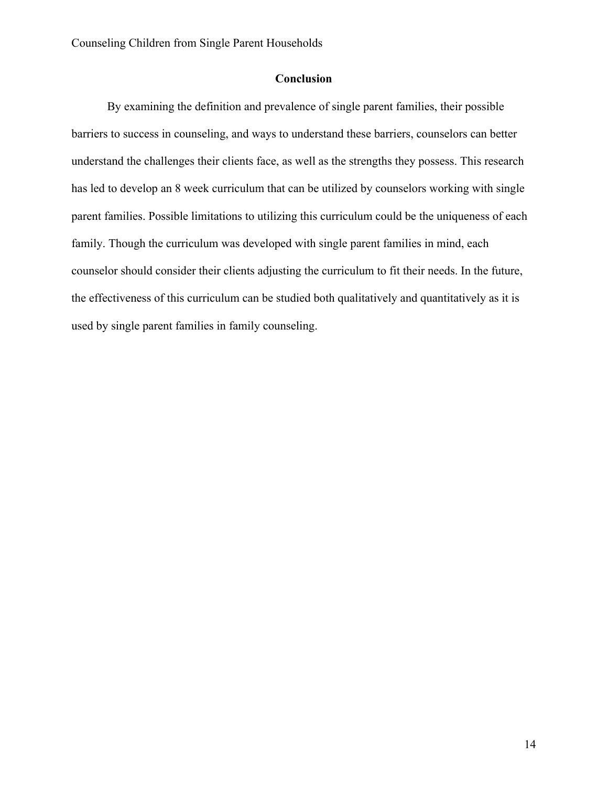## **Conclusion**

By examining the definition and prevalence of single parent families, their possible barriers to success in counseling, and ways to understand these barriers, counselors can better understand the challenges their clients face, as well as the strengths they possess. This research has led to develop an 8 week curriculum that can be utilized by counselors working with single parent families. Possible limitations to utilizing this curriculum could be the uniqueness of each family. Though the curriculum was developed with single parent families in mind, each counselor should consider their clients adjusting the curriculum to fit their needs. In the future, the effectiveness of this curriculum can be studied both qualitatively and quantitatively as it is used by single parent families in family counseling.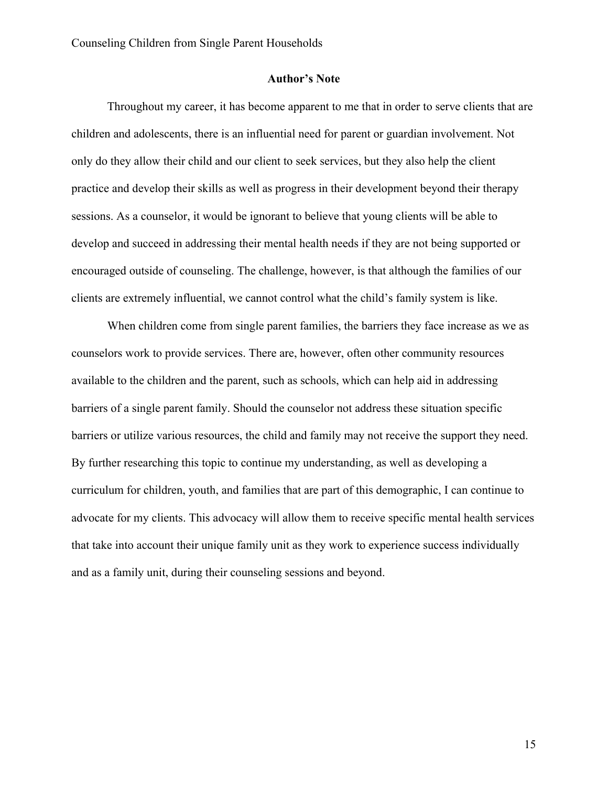#### **Author's Note**

Throughout my career, it has become apparent to me that in order to serve clients that are children and adolescents, there is an influential need for parent or guardian involvement. Not only do they allow their child and our client to seek services, but they also help the client practice and develop their skills as well as progress in their development beyond their therapy sessions. As a counselor, it would be ignorant to believe that young clients will be able to develop and succeed in addressing their mental health needs if they are not being supported or encouraged outside of counseling. The challenge, however, is that although the families of our clients are extremely influential, we cannot control what the child's family system is like.

When children come from single parent families, the barriers they face increase as we as counselors work to provide services. There are, however, often other community resources available to the children and the parent, such as schools, which can help aid in addressing barriers of a single parent family. Should the counselor not address these situation specific barriers or utilize various resources, the child and family may not receive the support they need. By further researching this topic to continue my understanding, as well as developing a curriculum for children, youth, and families that are part of this demographic, I can continue to advocate for my clients. This advocacy will allow them to receive specific mental health services that take into account their unique family unit as they work to experience success individually and as a family unit, during their counseling sessions and beyond.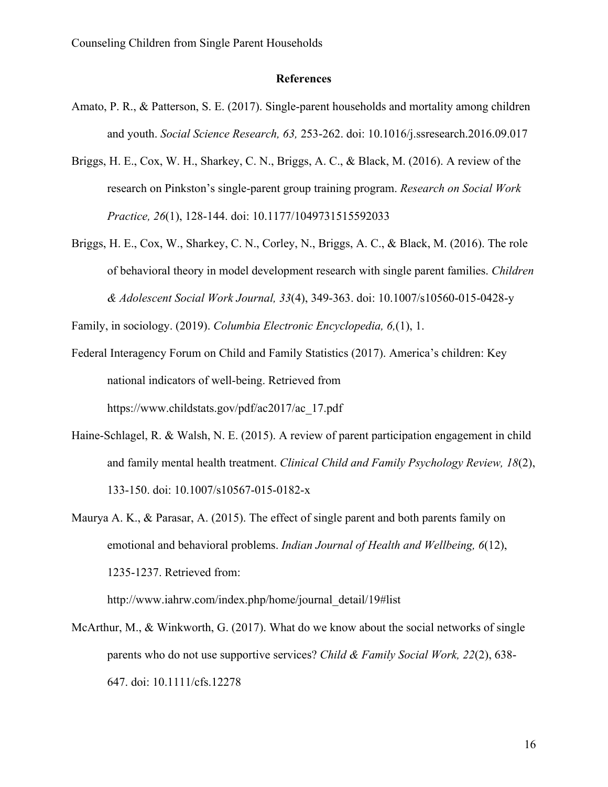#### **References**

- Amato, P. R., & Patterson, S. E. (2017). Single-parent households and mortality among children and youth. *Social Science Research, 63,* 253-262. doi: 10.1016/j.ssresearch.2016.09.017
- Briggs, H. E., Cox, W. H., Sharkey, C. N., Briggs, A. C., & Black, M. (2016). A review of the research on Pinkston's single-parent group training program. *Research on Social Work Practice, 26*(1), 128-144. doi: 10.1177/1049731515592033
- Briggs, H. E., Cox, W., Sharkey, C. N., Corley, N., Briggs, A. C., & Black, M. (2016). The role of behavioral theory in model development research with single parent families. *Children & Adolescent Social Work Journal, 33*(4), 349-363. doi: 10.1007/s10560-015-0428-y

Family, in sociology. (2019). *Columbia Electronic Encyclopedia, 6,*(1), 1.

- Federal Interagency Forum on Child and Family Statistics (2017). America's children: Key national indicators of well-being. Retrieved from https://www.childstats.gov/pdf/ac2017/ac\_17.pdf
- Haine-Schlagel, R. & Walsh, N. E. (2015). A review of parent participation engagement in child and family mental health treatment. *Clinical Child and Family Psychology Review, 18*(2), 133-150. doi: 10.1007/s10567-015-0182-x
- Maurya A. K., & Parasar, A. (2015). The effect of single parent and both parents family on emotional and behavioral problems. *Indian Journal of Health and Wellbeing, 6*(12), 1235-1237. Retrieved from:

http://www.iahrw.com/index.php/home/journal\_detail/19#list

McArthur, M., & Winkworth, G. (2017). What do we know about the social networks of single parents who do not use supportive services? *Child & Family Social Work, 22*(2), 638- 647. doi: 10.1111/cfs.12278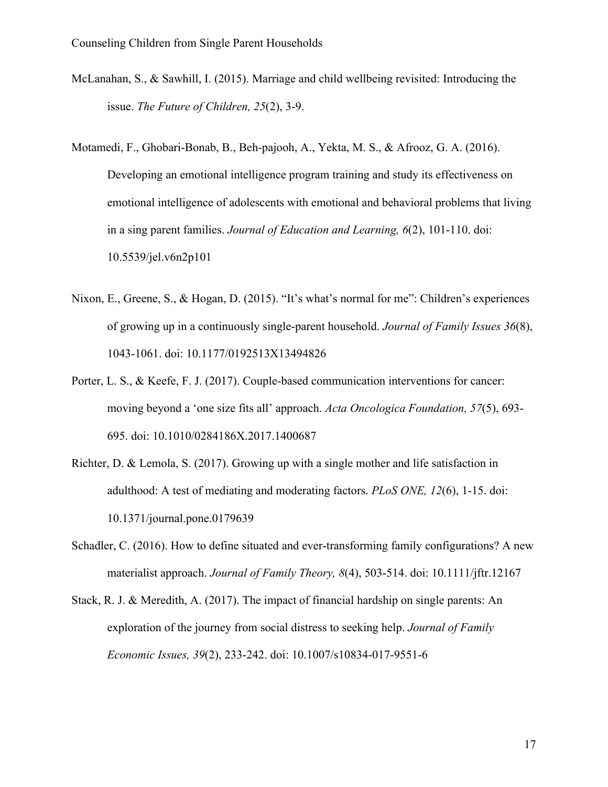- McLanahan, S., & Sawhill, I. (2015). Marriage and child wellbeing revisited: Introducing the issue. *The Future of Children, 25*(2), 3-9.
- Motamedi, F., Ghobari-Bonab, B., Beh-pajooh, A., Yekta, M. S., & Afrooz, G. A. (2016). Developing an emotional intelligence program training and study its effectiveness on emotional intelligence of adolescents with emotional and behavioral problems that living in a sing parent families. *Journal of Education and Learning, 6*(2), 101-110. doi: 10.5539/jel.v6n2p101
- Nixon, E., Greene, S., & Hogan, D. (2015). "It's what's normal for me": Children's experiences of growing up in a continuously single-parent household. *Journal of Family Issues 36*(8), 1043-1061. doi: 10.1177/0192513X13494826
- Porter, L. S., & Keefe, F. J. (2017). Couple-based communication interventions for cancer: moving beyond a 'one size fits all' approach. *Acta Oncologica Foundation, 57*(5), 693- 695. doi: 10.1010/0284186X.2017.1400687
- Richter, D. & Lemola, S. (2017). Growing up with a single mother and life satisfaction in adulthood: A test of mediating and moderating factors. *PLoS ONE, 12*(6), 1-15. doi: 10.1371/journal.pone.0179639
- Schadler, C. (2016). How to define situated and ever-transforming family configurations? A new materialist approach. *Journal of Family Theory, 8*(4), 503-514. doi: 10.1111/jftr.12167
- Stack, R. J. & Meredith, A. (2017). The impact of financial hardship on single parents: An exploration of the journey from social distress to seeking help. *Journal of Family Economic Issues, 39*(2), 233-242. doi: 10.1007/s10834-017-9551-6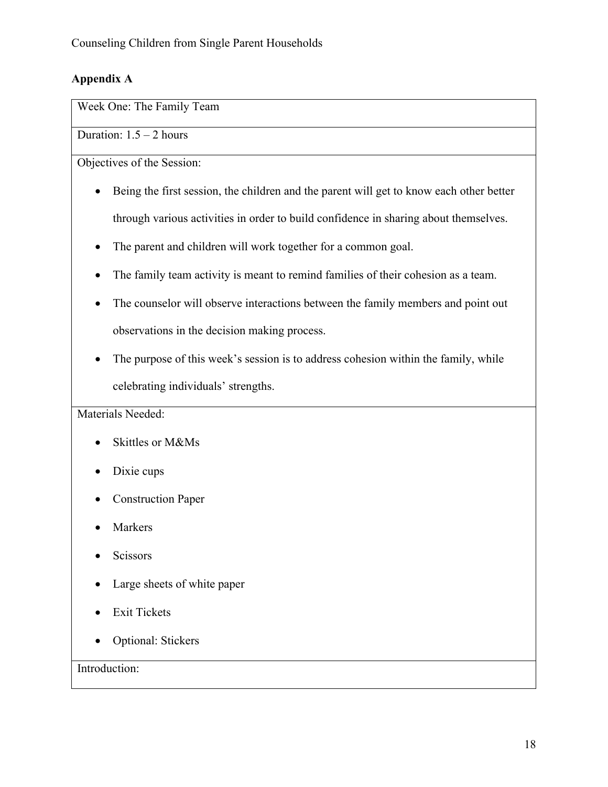# **Appendix A**

Week One: The Family Team

Duration:  $1.5 - 2$  hours

Objectives of the Session:

- Being the first session, the children and the parent will get to know each other better through various activities in order to build confidence in sharing about themselves.
- The parent and children will work together for a common goal.
- The family team activity is meant to remind families of their cohesion as a team.
- The counselor will observe interactions between the family members and point out observations in the decision making process.
- The purpose of this week's session is to address cohesion within the family, while celebrating individuals' strengths.

Materials Needed:

- Skittles or M&Ms
- Dixie cups
- Construction Paper
- **Markers**
- Scissors
- Large sheets of white paper
- Exit Tickets
- Optional: Stickers

Introduction: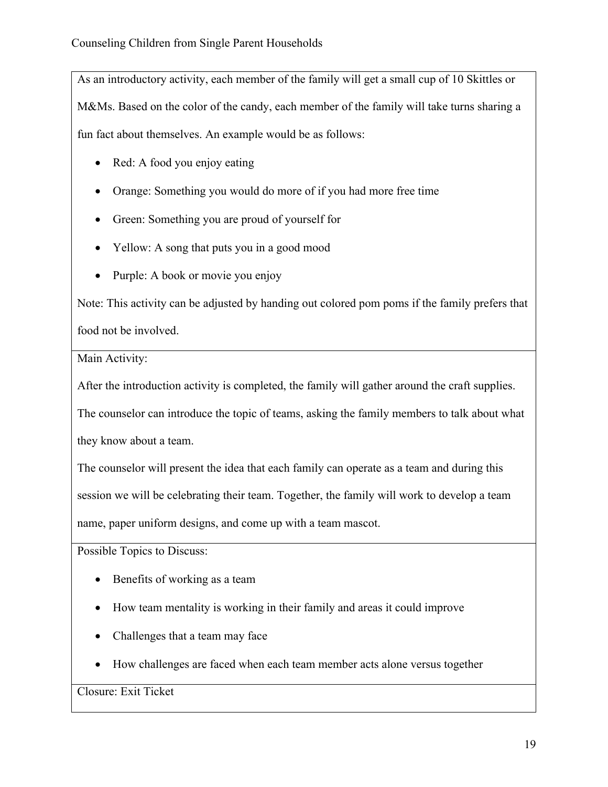As an introductory activity, each member of the family will get a small cup of 10 Skittles or M&Ms. Based on the color of the candy, each member of the family will take turns sharing a fun fact about themselves. An example would be as follows:

- Red: A food you enjoy eating
- Orange: Something you would do more of if you had more free time
- Green: Something you are proud of yourself for
- Yellow: A song that puts you in a good mood
- Purple: A book or movie you enjoy

Note: This activity can be adjusted by handing out colored pom poms if the family prefers that food not be involved.

Main Activity:

After the introduction activity is completed, the family will gather around the craft supplies.

The counselor can introduce the topic of teams, asking the family members to talk about what

they know about a team.

The counselor will present the idea that each family can operate as a team and during this session we will be celebrating their team. Together, the family will work to develop a team name, paper uniform designs, and come up with a team mascot.

Possible Topics to Discuss:

- Benefits of working as a team
- How team mentality is working in their family and areas it could improve
- Challenges that a team may face
- How challenges are faced when each team member acts alone versus together

Closure: Exit Ticket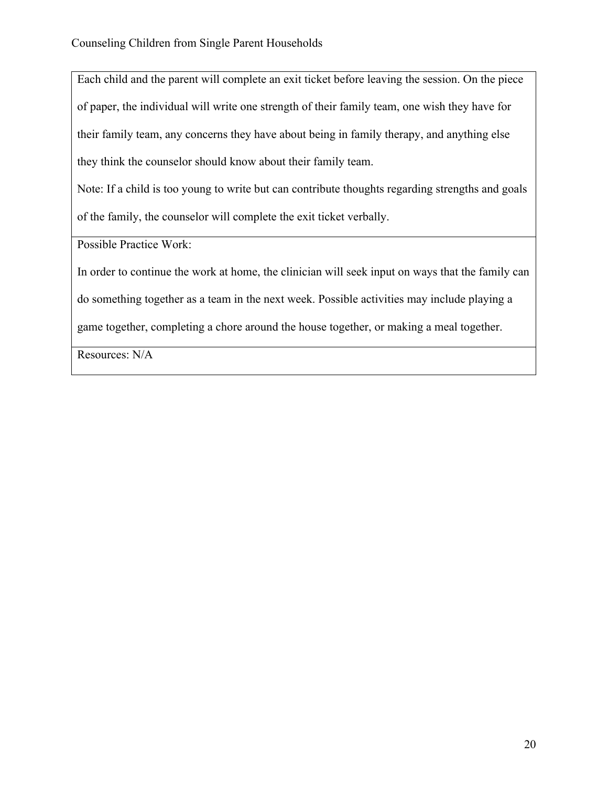Each child and the parent will complete an exit ticket before leaving the session. On the piece of paper, the individual will write one strength of their family team, one wish they have for their family team, any concerns they have about being in family therapy, and anything else they think the counselor should know about their family team.

Note: If a child is too young to write but can contribute thoughts regarding strengths and goals of the family, the counselor will complete the exit ticket verbally.

Possible Practice Work:

In order to continue the work at home, the clinician will seek input on ways that the family can

do something together as a team in the next week. Possible activities may include playing a

game together, completing a chore around the house together, or making a meal together.

Resources: N/A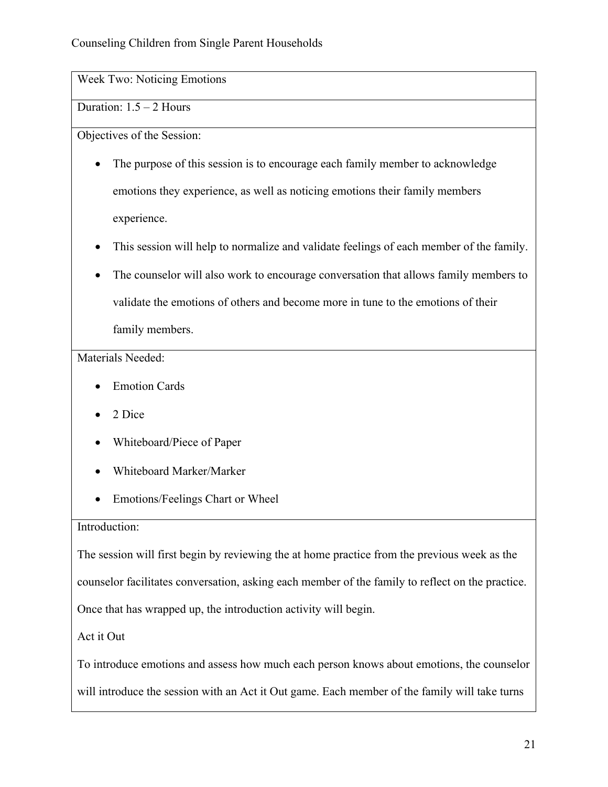Week Two: Noticing Emotions

# Duration: 1.5 – 2 Hours

Objectives of the Session:

- The purpose of this session is to encourage each family member to acknowledge emotions they experience, as well as noticing emotions their family members experience.
- This session will help to normalize and validate feelings of each member of the family.
- The counselor will also work to encourage conversation that allows family members to validate the emotions of others and become more in tune to the emotions of their family members.

### Materials Needed:

- Emotion Cards
- 2 Dice
- Whiteboard/Piece of Paper
- Whiteboard Marker/Marker
- Emotions/Feelings Chart or Wheel

### Introduction:

The session will first begin by reviewing the at home practice from the previous week as the counselor facilitates conversation, asking each member of the family to reflect on the practice. Once that has wrapped up, the introduction activity will begin.

Act it Out

To introduce emotions and assess how much each person knows about emotions, the counselor

will introduce the session with an Act it Out game. Each member of the family will take turns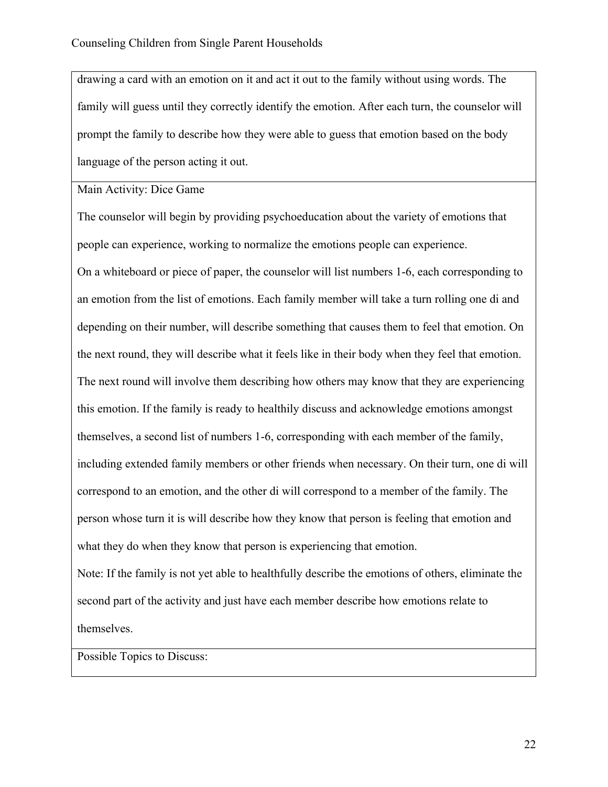drawing a card with an emotion on it and act it out to the family without using words. The family will guess until they correctly identify the emotion. After each turn, the counselor will prompt the family to describe how they were able to guess that emotion based on the body language of the person acting it out.

Main Activity: Dice Game

The counselor will begin by providing psychoeducation about the variety of emotions that people can experience, working to normalize the emotions people can experience.

On a whiteboard or piece of paper, the counselor will list numbers 1-6, each corresponding to an emotion from the list of emotions. Each family member will take a turn rolling one di and depending on their number, will describe something that causes them to feel that emotion. On the next round, they will describe what it feels like in their body when they feel that emotion. The next round will involve them describing how others may know that they are experiencing this emotion. If the family is ready to healthily discuss and acknowledge emotions amongst themselves, a second list of numbers 1-6, corresponding with each member of the family, including extended family members or other friends when necessary. On their turn, one di will correspond to an emotion, and the other di will correspond to a member of the family. The person whose turn it is will describe how they know that person is feeling that emotion and what they do when they know that person is experiencing that emotion.

Note: If the family is not yet able to healthfully describe the emotions of others, eliminate the second part of the activity and just have each member describe how emotions relate to themselves.

Possible Topics to Discuss: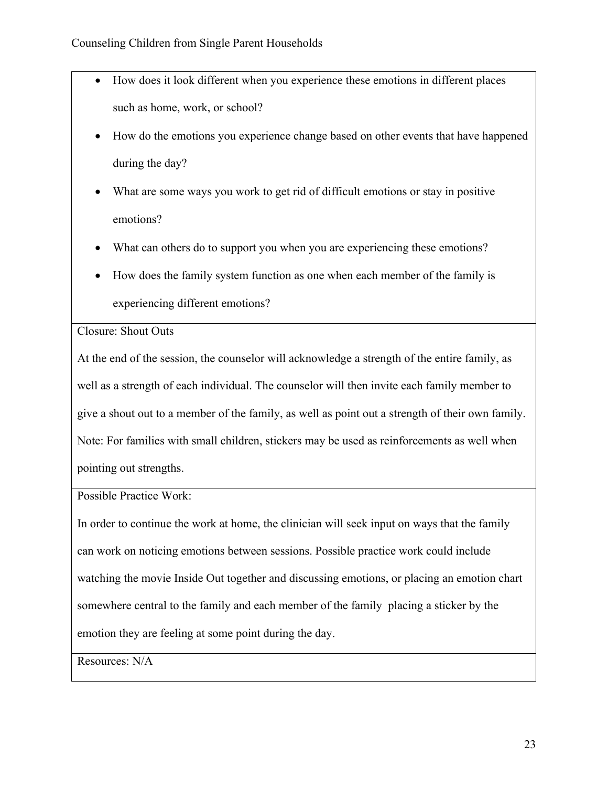- How does it look different when you experience these emotions in different places such as home, work, or school?
- How do the emotions you experience change based on other events that have happened during the day?
- What are some ways you work to get rid of difficult emotions or stay in positive emotions?
- What can others do to support you when you are experiencing these emotions?
- How does the family system function as one when each member of the family is experiencing different emotions?

Closure: Shout Outs

At the end of the session, the counselor will acknowledge a strength of the entire family, as well as a strength of each individual. The counselor will then invite each family member to give a shout out to a member of the family, as well as point out a strength of their own family. Note: For families with small children, stickers may be used as reinforcements as well when pointing out strengths.

Possible Practice Work:

In order to continue the work at home, the clinician will seek input on ways that the family can work on noticing emotions between sessions. Possible practice work could include watching the movie Inside Out together and discussing emotions, or placing an emotion chart somewhere central to the family and each member of the family placing a sticker by the emotion they are feeling at some point during the day.

Resources: N/A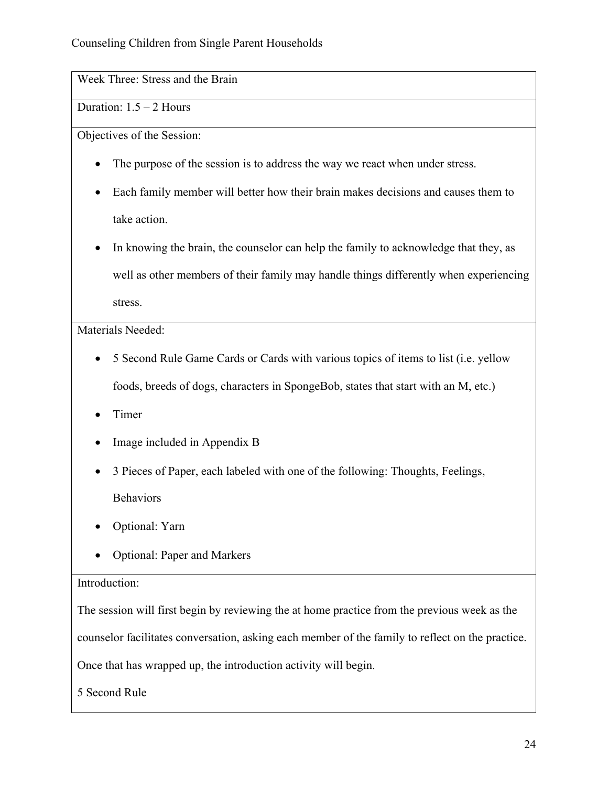Week Three: Stress and the Brain

# Duration: 1.5 – 2 Hours

Objectives of the Session:

- The purpose of the session is to address the way we react when under stress.
- Each family member will better how their brain makes decisions and causes them to take action.
- In knowing the brain, the counselor can help the family to acknowledge that they, as well as other members of their family may handle things differently when experiencing stress.

Materials Needed:

- 5 Second Rule Game Cards or Cards with various topics of items to list (i.e. yellow foods, breeds of dogs, characters in SpongeBob, states that start with an M, etc.)
- Timer
- Image included in Appendix B
- 3 Pieces of Paper, each labeled with one of the following: Thoughts, Feelings, Behaviors
- Optional: Yarn
- Optional: Paper and Markers

### Introduction:

The session will first begin by reviewing the at home practice from the previous week as the counselor facilitates conversation, asking each member of the family to reflect on the practice. Once that has wrapped up, the introduction activity will begin.

5 Second Rule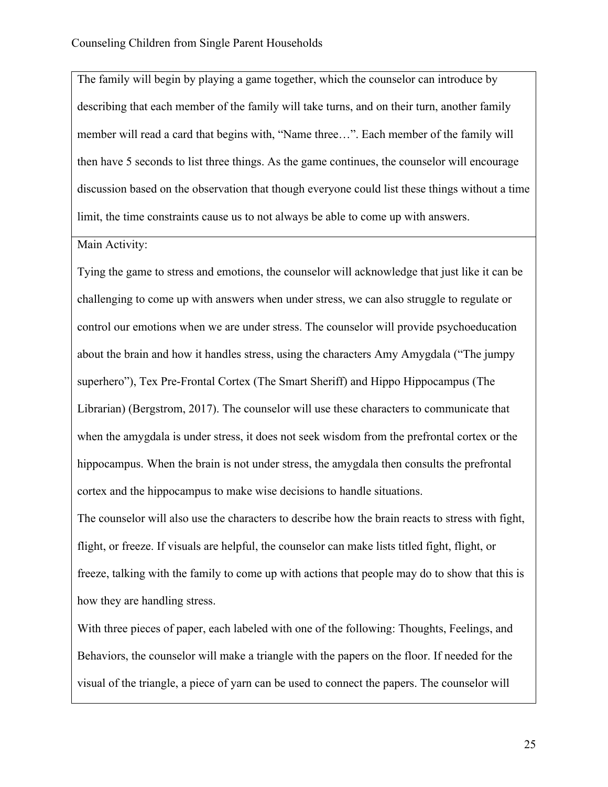The family will begin by playing a game together, which the counselor can introduce by describing that each member of the family will take turns, and on their turn, another family member will read a card that begins with, "Name three…". Each member of the family will then have 5 seconds to list three things. As the game continues, the counselor will encourage discussion based on the observation that though everyone could list these things without a time limit, the time constraints cause us to not always be able to come up with answers.

Main Activity:

Tying the game to stress and emotions, the counselor will acknowledge that just like it can be challenging to come up with answers when under stress, we can also struggle to regulate or control our emotions when we are under stress. The counselor will provide psychoeducation about the brain and how it handles stress, using the characters Amy Amygdala ("The jumpy superhero"), Tex Pre-Frontal Cortex (The Smart Sheriff) and Hippo Hippocampus (The Librarian) (Bergstrom, 2017). The counselor will use these characters to communicate that when the amygdala is under stress, it does not seek wisdom from the prefrontal cortex or the hippocampus. When the brain is not under stress, the amygdala then consults the prefrontal cortex and the hippocampus to make wise decisions to handle situations.

The counselor will also use the characters to describe how the brain reacts to stress with fight, flight, or freeze. If visuals are helpful, the counselor can make lists titled fight, flight, or freeze, talking with the family to come up with actions that people may do to show that this is how they are handling stress.

With three pieces of paper, each labeled with one of the following: Thoughts, Feelings, and Behaviors, the counselor will make a triangle with the papers on the floor. If needed for the visual of the triangle, a piece of yarn can be used to connect the papers. The counselor will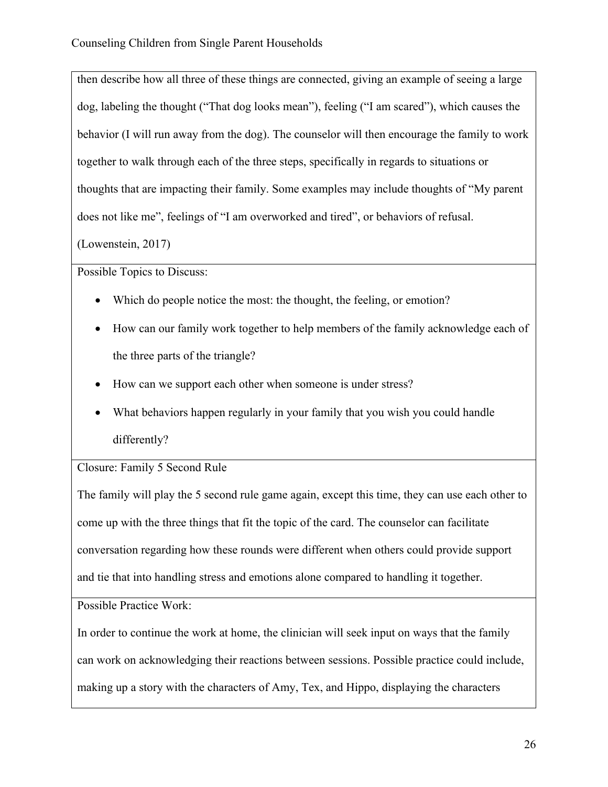then describe how all three of these things are connected, giving an example of seeing a large dog, labeling the thought ("That dog looks mean"), feeling ("I am scared"), which causes the behavior (I will run away from the dog). The counselor will then encourage the family to work together to walk through each of the three steps, specifically in regards to situations or thoughts that are impacting their family. Some examples may include thoughts of "My parent does not like me", feelings of "I am overworked and tired", or behaviors of refusal.

(Lowenstein, 2017)

Possible Topics to Discuss:

- Which do people notice the most: the thought, the feeling, or emotion?
- How can our family work together to help members of the family acknowledge each of the three parts of the triangle?
- How can we support each other when someone is under stress?
- What behaviors happen regularly in your family that you wish you could handle differently?

# Closure: Family 5 Second Rule

The family will play the 5 second rule game again, except this time, they can use each other to come up with the three things that fit the topic of the card. The counselor can facilitate conversation regarding how these rounds were different when others could provide support and tie that into handling stress and emotions alone compared to handling it together.

Possible Practice Work:

In order to continue the work at home, the clinician will seek input on ways that the family can work on acknowledging their reactions between sessions. Possible practice could include, making up a story with the characters of Amy, Tex, and Hippo, displaying the characters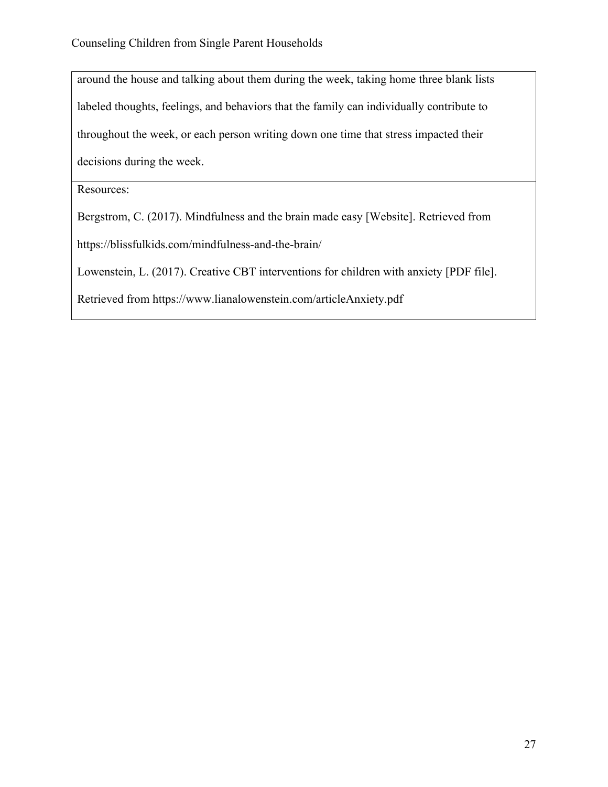around the house and talking about them during the week, taking home three blank lists labeled thoughts, feelings, and behaviors that the family can individually contribute to throughout the week, or each person writing down one time that stress impacted their decisions during the week.

Resources:

Bergstrom, C. (2017). Mindfulness and the brain made easy [Website]. Retrieved from

https://blissfulkids.com/mindfulness-and-the-brain/

Lowenstein, L. (2017). Creative CBT interventions for children with anxiety [PDF file].

Retrieved from https://www.lianalowenstein.com/articleAnxiety.pdf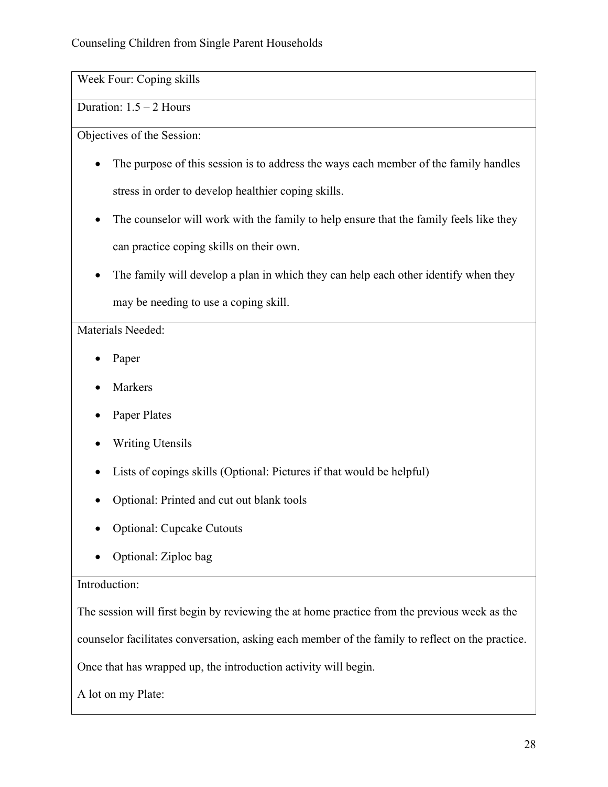Week Four: Coping skills

Duration: 1.5 – 2 Hours

Objectives of the Session:

- The purpose of this session is to address the ways each member of the family handles stress in order to develop healthier coping skills.
- The counselor will work with the family to help ensure that the family feels like they can practice coping skills on their own.
- The family will develop a plan in which they can help each other identify when they may be needing to use a coping skill.

# Materials Needed:

- Paper
- **Markers**
- Paper Plates
- Writing Utensils
- Lists of copings skills (Optional: Pictures if that would be helpful)
- Optional: Printed and cut out blank tools
- Optional: Cupcake Cutouts
- Optional: Ziploc bag

# Introduction:

The session will first begin by reviewing the at home practice from the previous week as the

counselor facilitates conversation, asking each member of the family to reflect on the practice.

Once that has wrapped up, the introduction activity will begin.

A lot on my Plate: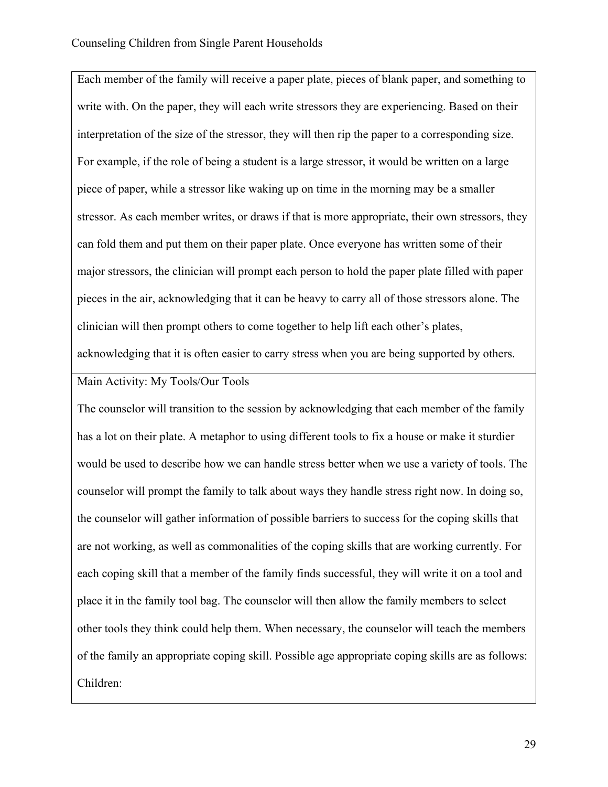Each member of the family will receive a paper plate, pieces of blank paper, and something to write with. On the paper, they will each write stressors they are experiencing. Based on their interpretation of the size of the stressor, they will then rip the paper to a corresponding size. For example, if the role of being a student is a large stressor, it would be written on a large piece of paper, while a stressor like waking up on time in the morning may be a smaller stressor. As each member writes, or draws if that is more appropriate, their own stressors, they can fold them and put them on their paper plate. Once everyone has written some of their major stressors, the clinician will prompt each person to hold the paper plate filled with paper pieces in the air, acknowledging that it can be heavy to carry all of those stressors alone. The clinician will then prompt others to come together to help lift each other's plates, acknowledging that it is often easier to carry stress when you are being supported by others.

### Main Activity: My Tools/Our Tools

The counselor will transition to the session by acknowledging that each member of the family has a lot on their plate. A metaphor to using different tools to fix a house or make it sturdier would be used to describe how we can handle stress better when we use a variety of tools. The counselor will prompt the family to talk about ways they handle stress right now. In doing so, the counselor will gather information of possible barriers to success for the coping skills that are not working, as well as commonalities of the coping skills that are working currently. For each coping skill that a member of the family finds successful, they will write it on a tool and place it in the family tool bag. The counselor will then allow the family members to select other tools they think could help them. When necessary, the counselor will teach the members of the family an appropriate coping skill. Possible age appropriate coping skills are as follows: Children: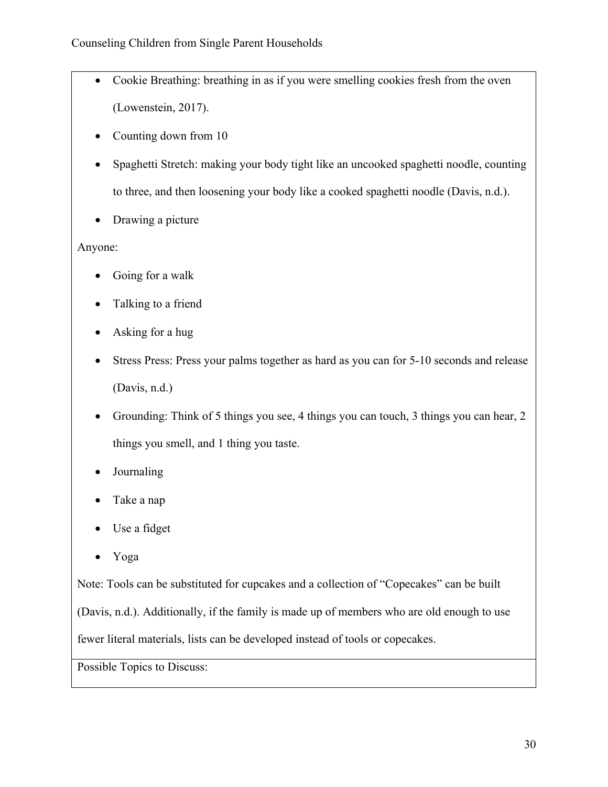- Cookie Breathing: breathing in as if you were smelling cookies fresh from the oven (Lowenstein, 2017).
- Counting down from 10
- Spaghetti Stretch: making your body tight like an uncooked spaghetti noodle, counting to three, and then loosening your body like a cooked spaghetti noodle (Davis, n.d.).
- Drawing a picture

Anyone:

- Going for a walk
- Talking to a friend
- Asking for a hug
- Stress Press: Press your palms together as hard as you can for 5-10 seconds and release (Davis, n.d.)
- Grounding: Think of 5 things you see, 4 things you can touch, 3 things you can hear, 2 things you smell, and 1 thing you taste.
- Journaling
- Take a nap
- Use a fidget
- Yoga

Note: Tools can be substituted for cupcakes and a collection of "Copecakes" can be built

(Davis, n.d.). Additionally, if the family is made up of members who are old enough to use

fewer literal materials, lists can be developed instead of tools or copecakes.

Possible Topics to Discuss: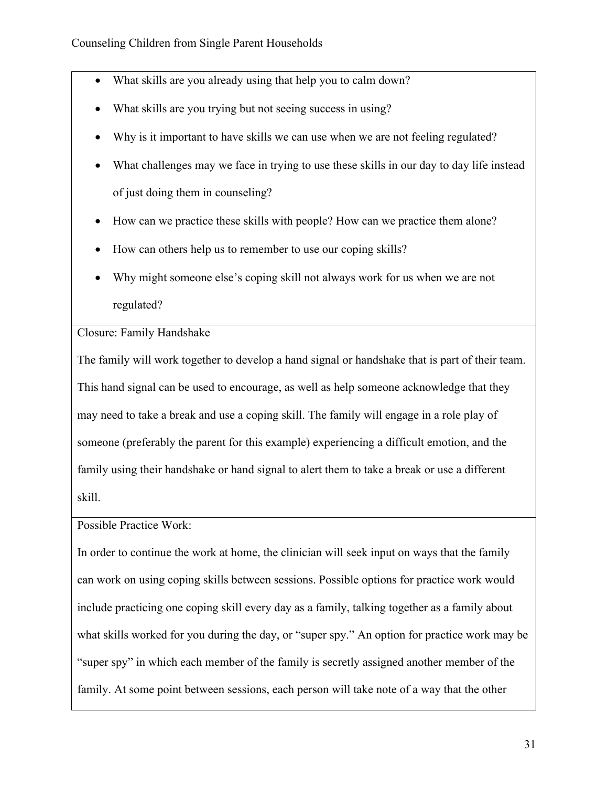- What skills are you already using that help you to calm down?
- What skills are you trying but not seeing success in using?
- Why is it important to have skills we can use when we are not feeling regulated?
- What challenges may we face in trying to use these skills in our day to day life instead of just doing them in counseling?
- How can we practice these skills with people? How can we practice them alone?
- How can others help us to remember to use our coping skills?
- Why might someone else's coping skill not always work for us when we are not regulated?

Closure: Family Handshake

The family will work together to develop a hand signal or handshake that is part of their team. This hand signal can be used to encourage, as well as help someone acknowledge that they may need to take a break and use a coping skill. The family will engage in a role play of someone (preferably the parent for this example) experiencing a difficult emotion, and the family using their handshake or hand signal to alert them to take a break or use a different skill.

Possible Practice Work:

In order to continue the work at home, the clinician will seek input on ways that the family can work on using coping skills between sessions. Possible options for practice work would include practicing one coping skill every day as a family, talking together as a family about what skills worked for you during the day, or "super spy." An option for practice work may be "super spy" in which each member of the family is secretly assigned another member of the family. At some point between sessions, each person will take note of a way that the other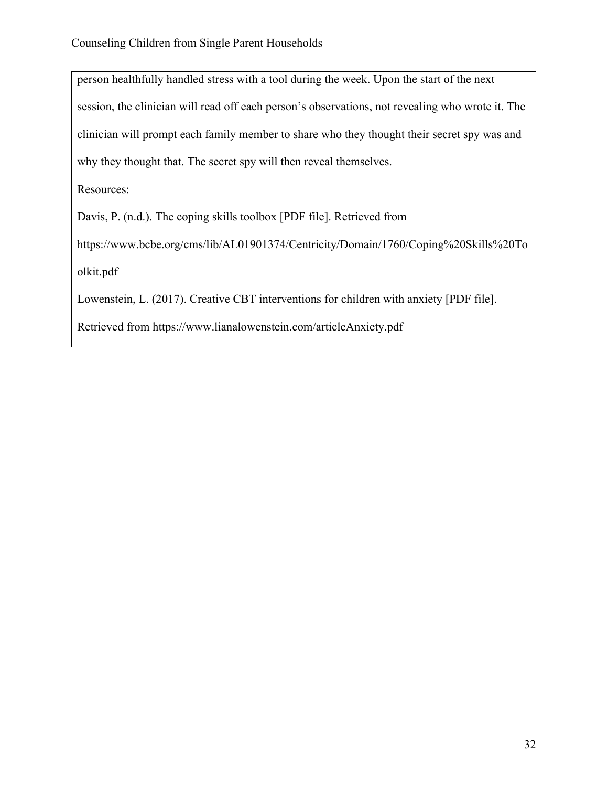person healthfully handled stress with a tool during the week. Upon the start of the next session, the clinician will read off each person's observations, not revealing who wrote it. The clinician will prompt each family member to share who they thought their secret spy was and why they thought that. The secret spy will then reveal themselves.

Resources:

Davis, P. (n.d.). The coping skills toolbox [PDF file]. Retrieved from

https://www.bcbe.org/cms/lib/AL01901374/Centricity/Domain/1760/Coping%20Skills%20To olkit.pdf

Lowenstein, L. (2017). Creative CBT interventions for children with anxiety [PDF file].

Retrieved from https://www.lianalowenstein.com/articleAnxiety.pdf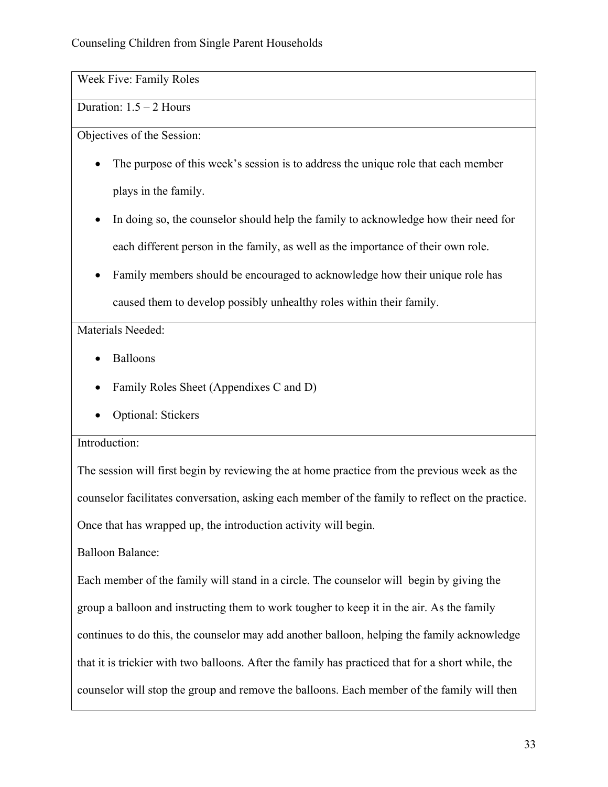Week Five: Family Roles

Duration: 1.5 – 2 Hours

Objectives of the Session:

- The purpose of this week's session is to address the unique role that each member plays in the family.
- In doing so, the counselor should help the family to acknowledge how their need for each different person in the family, as well as the importance of their own role.
- Family members should be encouraged to acknowledge how their unique role has caused them to develop possibly unhealthy roles within their family.

Materials Needed:

- Balloons
- Family Roles Sheet (Appendixes C and D)
- Optional: Stickers

# Introduction:

The session will first begin by reviewing the at home practice from the previous week as the counselor facilitates conversation, asking each member of the family to reflect on the practice. Once that has wrapped up, the introduction activity will begin.

Balloon Balance:

Each member of the family will stand in a circle. The counselor will begin by giving the group a balloon and instructing them to work tougher to keep it in the air. As the family continues to do this, the counselor may add another balloon, helping the family acknowledge that it is trickier with two balloons. After the family has practiced that for a short while, the counselor will stop the group and remove the balloons. Each member of the family will then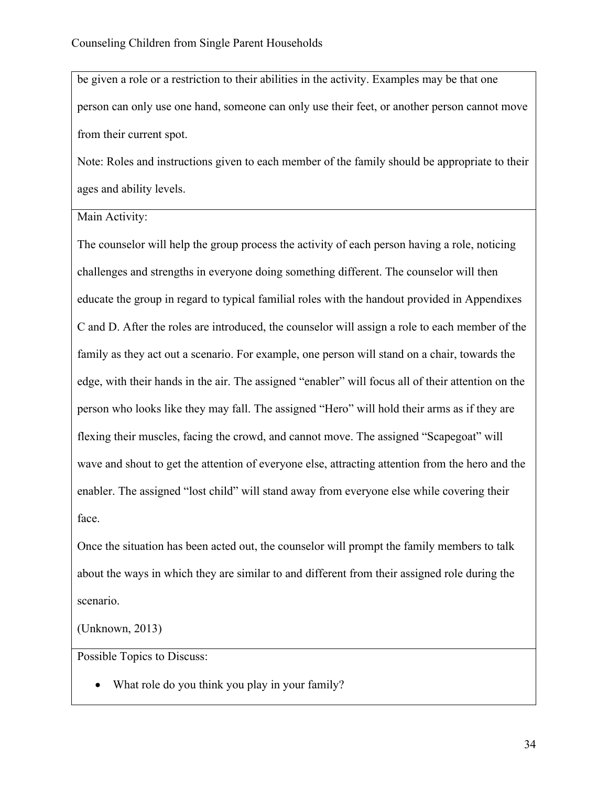be given a role or a restriction to their abilities in the activity. Examples may be that one person can only use one hand, someone can only use their feet, or another person cannot move from their current spot.

Note: Roles and instructions given to each member of the family should be appropriate to their ages and ability levels.

Main Activity:

The counselor will help the group process the activity of each person having a role, noticing challenges and strengths in everyone doing something different. The counselor will then educate the group in regard to typical familial roles with the handout provided in Appendixes C and D. After the roles are introduced, the counselor will assign a role to each member of the family as they act out a scenario. For example, one person will stand on a chair, towards the edge, with their hands in the air. The assigned "enabler" will focus all of their attention on the person who looks like they may fall. The assigned "Hero" will hold their arms as if they are flexing their muscles, facing the crowd, and cannot move. The assigned "Scapegoat" will wave and shout to get the attention of everyone else, attracting attention from the hero and the enabler. The assigned "lost child" will stand away from everyone else while covering their face.

Once the situation has been acted out, the counselor will prompt the family members to talk about the ways in which they are similar to and different from their assigned role during the scenario.

(Unknown, 2013)

Possible Topics to Discuss:

• What role do you think you play in your family?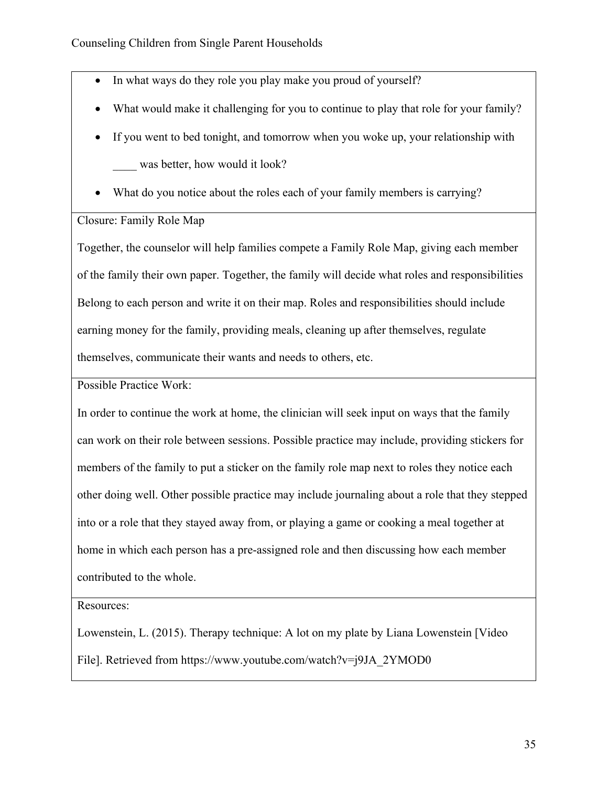- In what ways do they role you play make you proud of yourself?
- What would make it challenging for you to continue to play that role for your family?
- If you went to bed tonight, and tomorrow when you woke up, your relationship with was better, how would it look?
- What do you notice about the roles each of your family members is carrying?

### Closure: Family Role Map

Together, the counselor will help families compete a Family Role Map, giving each member of the family their own paper. Together, the family will decide what roles and responsibilities Belong to each person and write it on their map. Roles and responsibilities should include earning money for the family, providing meals, cleaning up after themselves, regulate themselves, communicate their wants and needs to others, etc.

Possible Practice Work:

In order to continue the work at home, the clinician will seek input on ways that the family can work on their role between sessions. Possible practice may include, providing stickers for members of the family to put a sticker on the family role map next to roles they notice each other doing well. Other possible practice may include journaling about a role that they stepped into or a role that they stayed away from, or playing a game or cooking a meal together at home in which each person has a pre-assigned role and then discussing how each member contributed to the whole.

Resources:

Lowenstein, L. (2015). Therapy technique: A lot on my plate by Liana Lowenstein [Video File]. Retrieved from https://www.youtube.com/watch?v=j9JA\_2YMOD0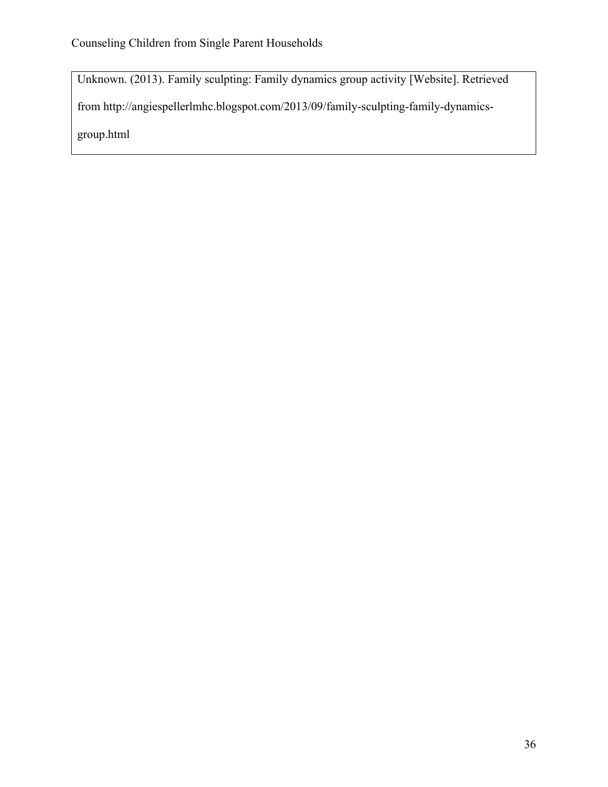Unknown. (2013). Family sculpting: Family dynamics group activity [Website]. Retrieved from http://angiespellerlmhc.blogspot.com/2013/09/family-sculpting-family-dynamicsgroup.html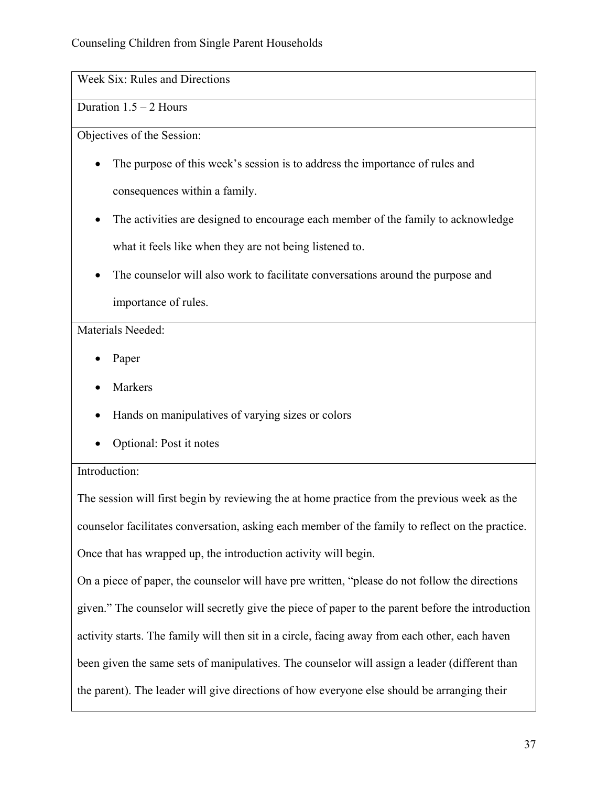Week Six: Rules and Directions

Duration  $1.5 - 2$  Hours

Objectives of the Session:

- The purpose of this week's session is to address the importance of rules and consequences within a family.
- The activities are designed to encourage each member of the family to acknowledge what it feels like when they are not being listened to.
- The counselor will also work to facilitate conversations around the purpose and importance of rules.

Materials Needed:

- Paper
- **Markers**
- Hands on manipulatives of varying sizes or colors
- Optional: Post it notes

# Introduction:

The session will first begin by reviewing the at home practice from the previous week as the counselor facilitates conversation, asking each member of the family to reflect on the practice. Once that has wrapped up, the introduction activity will begin.

On a piece of paper, the counselor will have pre written, "please do not follow the directions given." The counselor will secretly give the piece of paper to the parent before the introduction activity starts. The family will then sit in a circle, facing away from each other, each haven been given the same sets of manipulatives. The counselor will assign a leader (different than the parent). The leader will give directions of how everyone else should be arranging their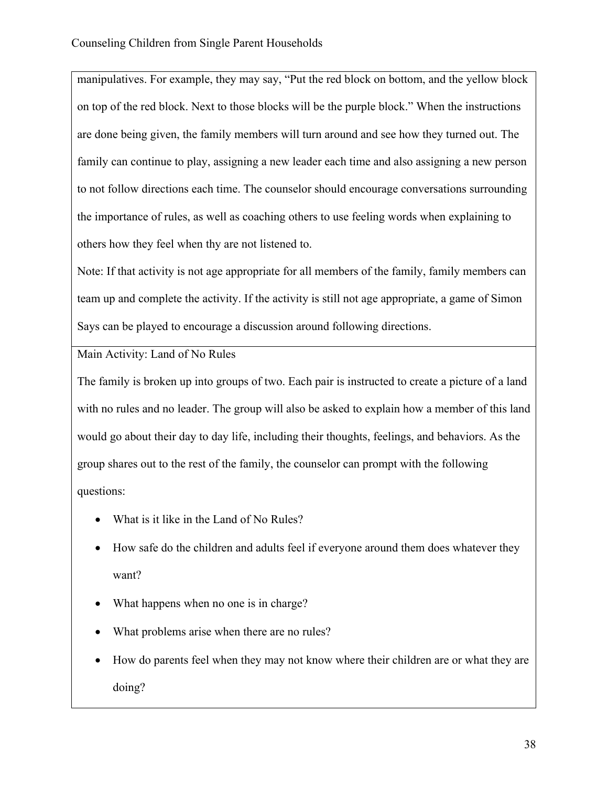manipulatives. For example, they may say, "Put the red block on bottom, and the yellow block on top of the red block. Next to those blocks will be the purple block." When the instructions are done being given, the family members will turn around and see how they turned out. The family can continue to play, assigning a new leader each time and also assigning a new person to not follow directions each time. The counselor should encourage conversations surrounding the importance of rules, as well as coaching others to use feeling words when explaining to others how they feel when thy are not listened to.

Note: If that activity is not age appropriate for all members of the family, family members can team up and complete the activity. If the activity is still not age appropriate, a game of Simon Says can be played to encourage a discussion around following directions.

Main Activity: Land of No Rules

The family is broken up into groups of two. Each pair is instructed to create a picture of a land with no rules and no leader. The group will also be asked to explain how a member of this land would go about their day to day life, including their thoughts, feelings, and behaviors. As the group shares out to the rest of the family, the counselor can prompt with the following questions:

- What is it like in the Land of No Rules?
- How safe do the children and adults feel if everyone around them does whatever they want?
- What happens when no one is in charge?
- What problems arise when there are no rules?
- How do parents feel when they may not know where their children are or what they are doing?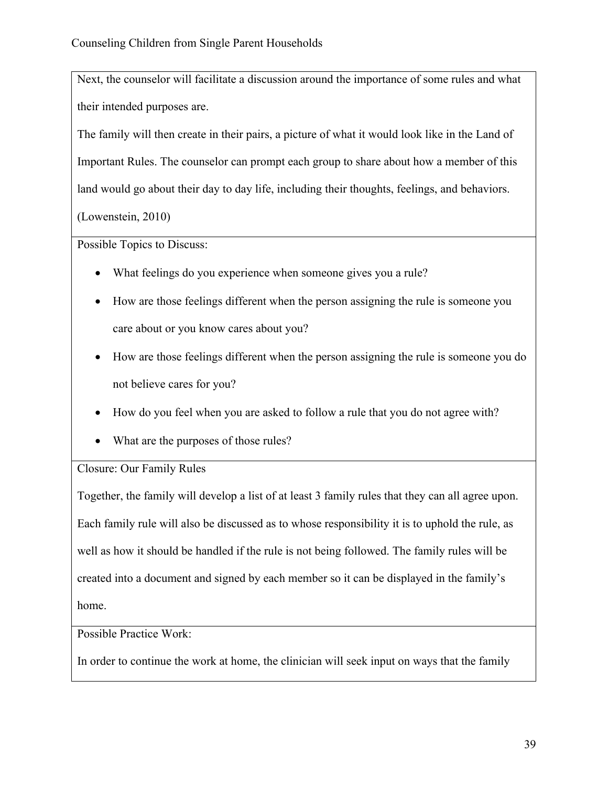Next, the counselor will facilitate a discussion around the importance of some rules and what their intended purposes are.

The family will then create in their pairs, a picture of what it would look like in the Land of Important Rules. The counselor can prompt each group to share about how a member of this land would go about their day to day life, including their thoughts, feelings, and behaviors.

(Lowenstein, 2010)

Possible Topics to Discuss:

- What feelings do you experience when someone gives you a rule?
- How are those feelings different when the person assigning the rule is someone you care about or you know cares about you?
- How are those feelings different when the person assigning the rule is someone you do not believe cares for you?
- How do you feel when you are asked to follow a rule that you do not agree with?
- What are the purposes of those rules?

Closure: Our Family Rules

Together, the family will develop a list of at least 3 family rules that they can all agree upon. Each family rule will also be discussed as to whose responsibility it is to uphold the rule, as well as how it should be handled if the rule is not being followed. The family rules will be created into a document and signed by each member so it can be displayed in the family's home.

Possible Practice Work:

In order to continue the work at home, the clinician will seek input on ways that the family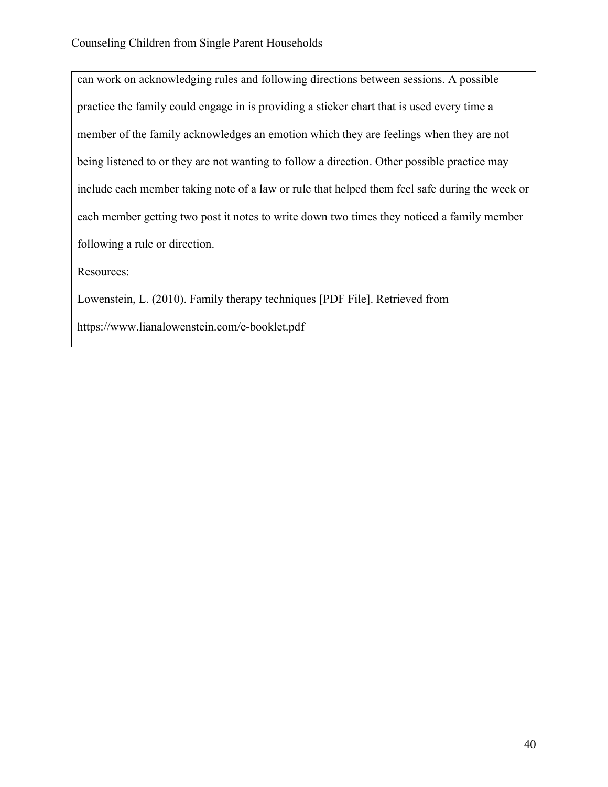can work on acknowledging rules and following directions between sessions. A possible practice the family could engage in is providing a sticker chart that is used every time a member of the family acknowledges an emotion which they are feelings when they are not being listened to or they are not wanting to follow a direction. Other possible practice may include each member taking note of a law or rule that helped them feel safe during the week or each member getting two post it notes to write down two times they noticed a family member following a rule or direction.

Resources:

Lowenstein, L. (2010). Family therapy techniques [PDF File]. Retrieved from

https://www.lianalowenstein.com/e-booklet.pdf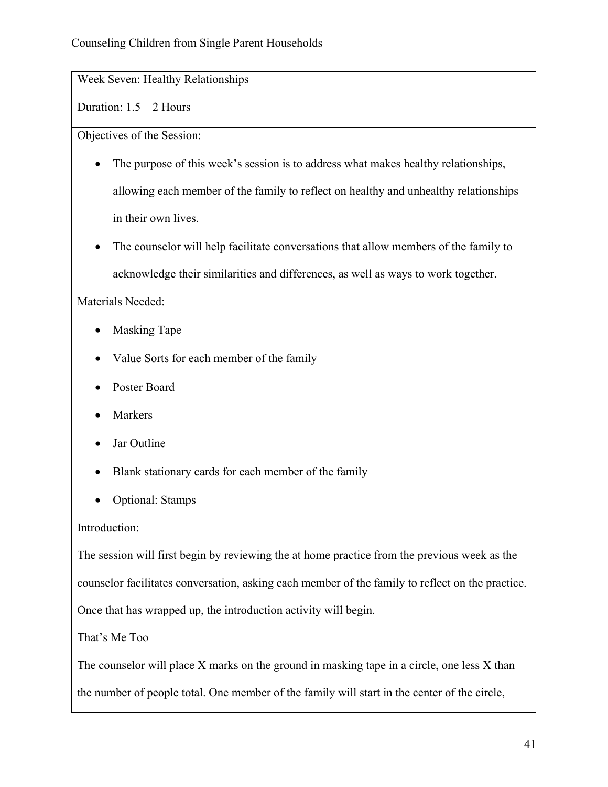Week Seven: Healthy Relationships

# Duration: 1.5 – 2 Hours

Objectives of the Session:

- The purpose of this week's session is to address what makes healthy relationships, allowing each member of the family to reflect on healthy and unhealthy relationships in their own lives.
- The counselor will help facilitate conversations that allow members of the family to acknowledge their similarities and differences, as well as ways to work together.

Materials Needed:

- Masking Tape
- Value Sorts for each member of the family
- Poster Board
- **Markers**
- Jar Outline
- Blank stationary cards for each member of the family
- Optional: Stamps

### Introduction:

The session will first begin by reviewing the at home practice from the previous week as the

counselor facilitates conversation, asking each member of the family to reflect on the practice.

Once that has wrapped up, the introduction activity will begin.

That's Me Too

The counselor will place X marks on the ground in masking tape in a circle, one less X than

the number of people total. One member of the family will start in the center of the circle,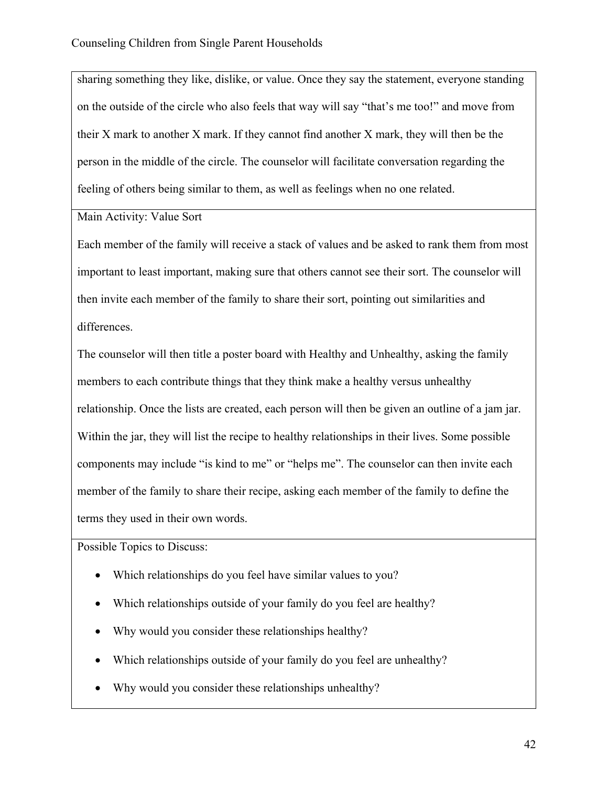sharing something they like, dislike, or value. Once they say the statement, everyone standing on the outside of the circle who also feels that way will say "that's me too!" and move from their X mark to another X mark. If they cannot find another X mark, they will then be the person in the middle of the circle. The counselor will facilitate conversation regarding the feeling of others being similar to them, as well as feelings when no one related.

Main Activity: Value Sort

Each member of the family will receive a stack of values and be asked to rank them from most important to least important, making sure that others cannot see their sort. The counselor will then invite each member of the family to share their sort, pointing out similarities and differences.

The counselor will then title a poster board with Healthy and Unhealthy, asking the family members to each contribute things that they think make a healthy versus unhealthy relationship. Once the lists are created, each person will then be given an outline of a jam jar. Within the jar, they will list the recipe to healthy relationships in their lives. Some possible components may include "is kind to me" or "helps me". The counselor can then invite each member of the family to share their recipe, asking each member of the family to define the terms they used in their own words.

Possible Topics to Discuss:

- Which relationships do you feel have similar values to you?
- Which relationships outside of your family do you feel are healthy?
- Why would you consider these relationships healthy?
- Which relationships outside of your family do you feel are unhealthy?
- Why would you consider these relationships unhealthy?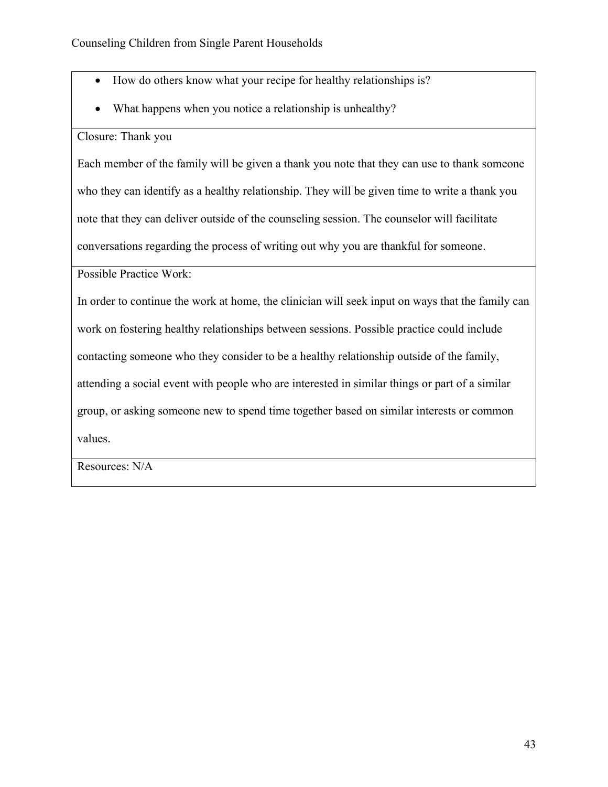- How do others know what your recipe for healthy relationships is?
- What happens when you notice a relationship is unhealthy?

### Closure: Thank you

Each member of the family will be given a thank you note that they can use to thank someone who they can identify as a healthy relationship. They will be given time to write a thank you note that they can deliver outside of the counseling session. The counselor will facilitate conversations regarding the process of writing out why you are thankful for someone.

Possible Practice Work:

In order to continue the work at home, the clinician will seek input on ways that the family can work on fostering healthy relationships between sessions. Possible practice could include contacting someone who they consider to be a healthy relationship outside of the family, attending a social event with people who are interested in similar things or part of a similar group, or asking someone new to spend time together based on similar interests or common values.

Resources: N/A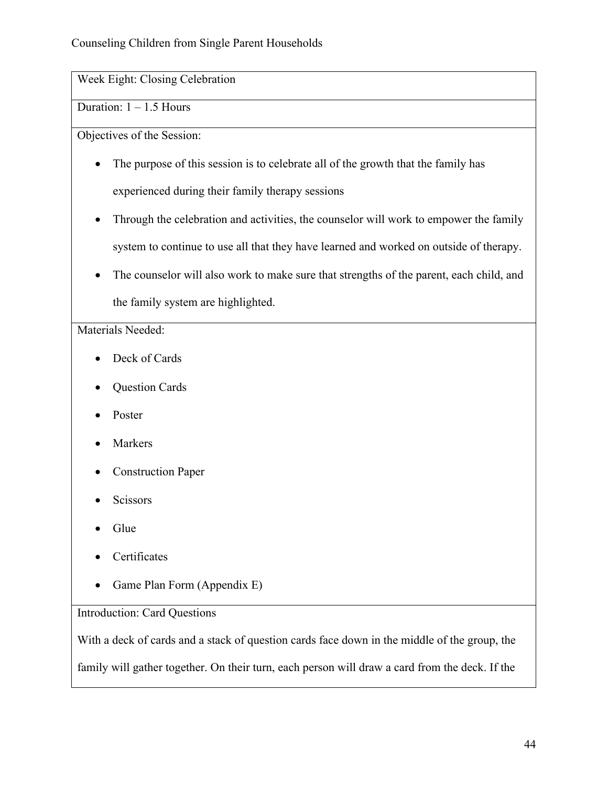Week Eight: Closing Celebration

Duration:  $1 - 1.5$  Hours

Objectives of the Session:

- The purpose of this session is to celebrate all of the growth that the family has experienced during their family therapy sessions
- Through the celebration and activities, the counselor will work to empower the family system to continue to use all that they have learned and worked on outside of therapy.
- The counselor will also work to make sure that strengths of the parent, each child, and the family system are highlighted.

# Materials Needed:

- Deck of Cards
- Question Cards
- Poster
- **Markers**
- Construction Paper
- **Scissors**
- Glue
- Certificates
- Game Plan Form (Appendix E)

# Introduction: Card Questions

With a deck of cards and a stack of question cards face down in the middle of the group, the

family will gather together. On their turn, each person will draw a card from the deck. If the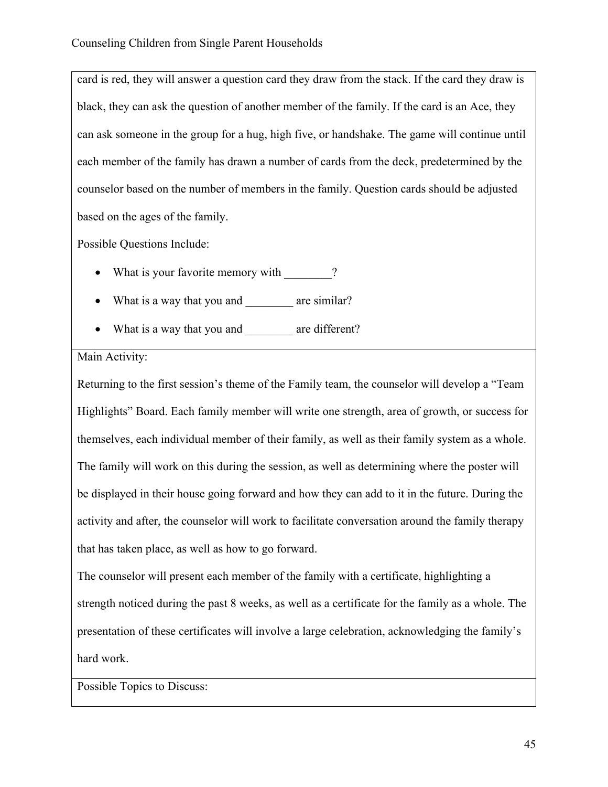card is red, they will answer a question card they draw from the stack. If the card they draw is black, they can ask the question of another member of the family. If the card is an Ace, they can ask someone in the group for a hug, high five, or handshake. The game will continue until each member of the family has drawn a number of cards from the deck, predetermined by the counselor based on the number of members in the family. Question cards should be adjusted based on the ages of the family.

Possible Questions Include:

- What is your favorite memory with  $\sim$ ?
- What is a way that you and are similar?
- What is a way that you and are different?

### Main Activity:

Returning to the first session's theme of the Family team, the counselor will develop a "Team Highlights" Board. Each family member will write one strength, area of growth, or success for themselves, each individual member of their family, as well as their family system as a whole. The family will work on this during the session, as well as determining where the poster will be displayed in their house going forward and how they can add to it in the future. During the activity and after, the counselor will work to facilitate conversation around the family therapy that has taken place, as well as how to go forward.

The counselor will present each member of the family with a certificate, highlighting a strength noticed during the past 8 weeks, as well as a certificate for the family as a whole. The presentation of these certificates will involve a large celebration, acknowledging the family's hard work.

Possible Topics to Discuss: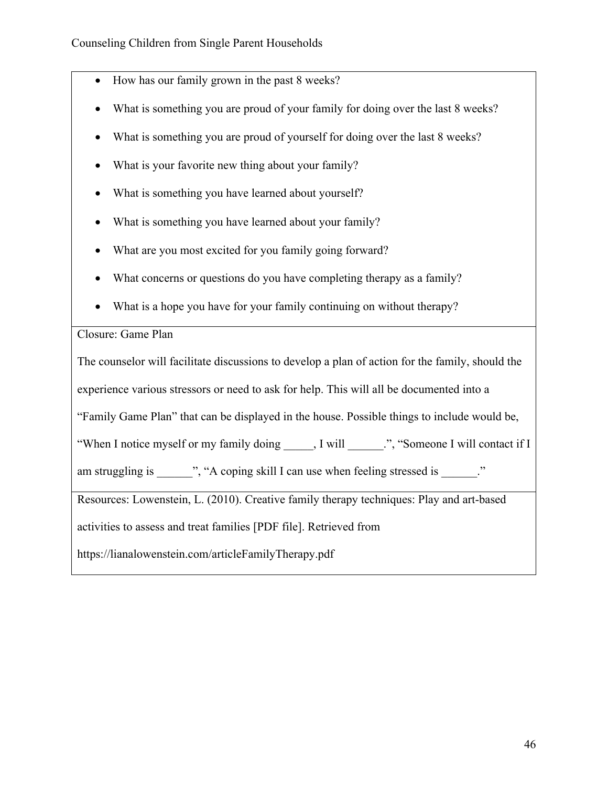- How has our family grown in the past 8 weeks?
- What is something you are proud of your family for doing over the last 8 weeks?
- What is something you are proud of yourself for doing over the last 8 weeks?
- What is your favorite new thing about your family?
- What is something you have learned about yourself?
- What is something you have learned about your family?
- What are you most excited for you family going forward?
- What concerns or questions do you have completing therapy as a family?
- What is a hope you have for your family continuing on without therapy?

### Closure: Game Plan

The counselor will facilitate discussions to develop a plan of action for the family, should the experience various stressors or need to ask for help. This will all be documented into a "Family Game Plan" that can be displayed in the house. Possible things to include would be, "When I notice myself or my family doing ... I will  $\cdots$ ", "Someone I will contact if I am struggling is \_\_\_\_\_\_", "A coping skill I can use when feeling stressed is  $\therefore$ " Resources: Lowenstein, L. (2010). Creative family therapy techniques: Play and art-based activities to assess and treat families [PDF file]. Retrieved from

https://lianalowenstein.com/articleFamilyTherapy.pdf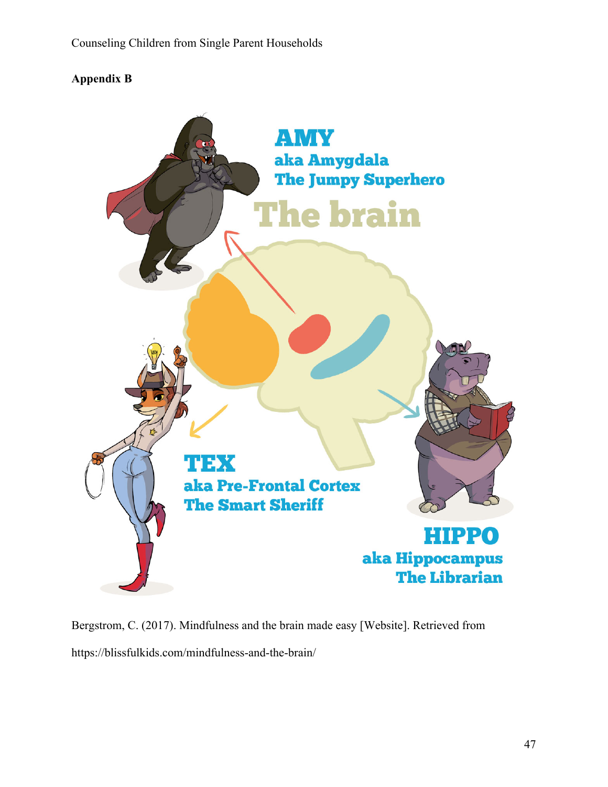# **Appendix B**



Bergstrom, C. (2017). Mindfulness and the brain made easy [Website]. Retrieved from https://blissfulkids.com/mindfulness-and-the-brain/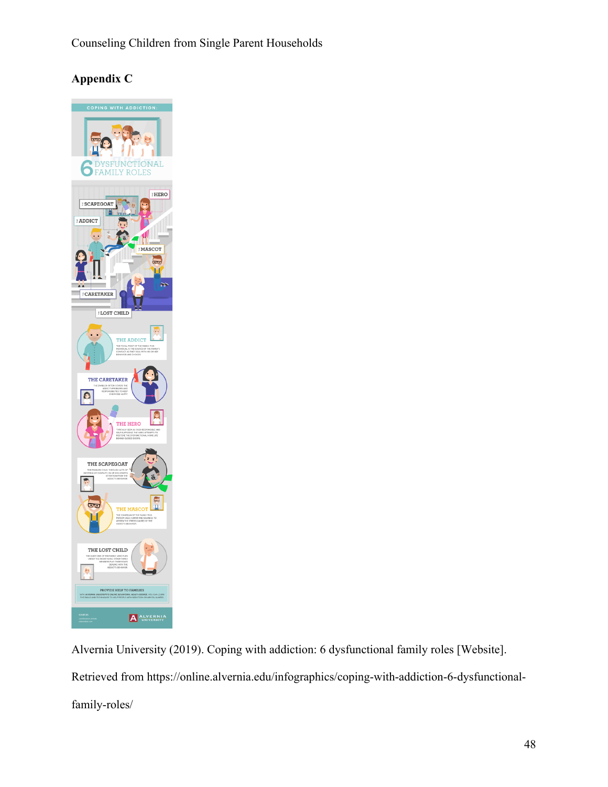# **Appendix C**



Alvernia University (2019). Coping with addiction: 6 dysfunctional family roles [Website]. Retrieved from https://online.alvernia.edu/infographics/coping-with-addiction-6-dysfunctionalfamily-roles/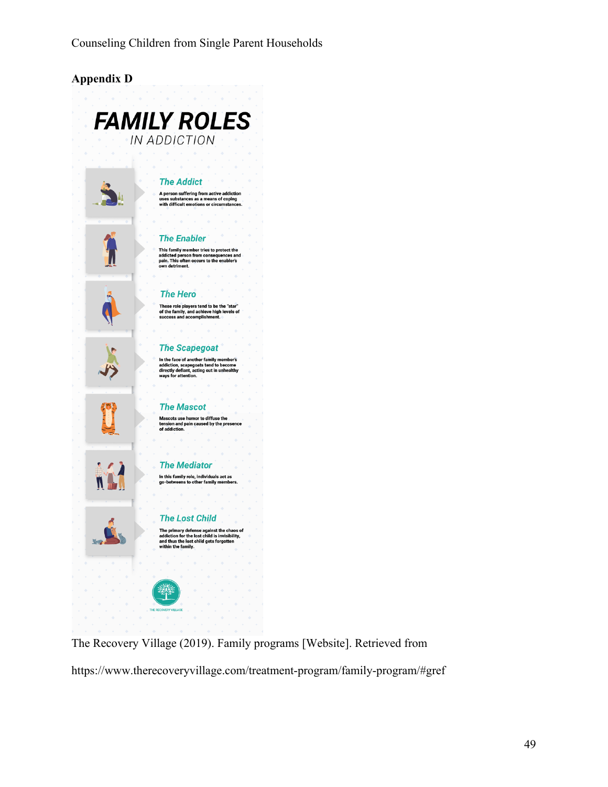

The Recovery Village (2019). Family programs [Website]. Retrieved from

https://www.therecoveryvillage.com/treatment-program/family-program/#gref